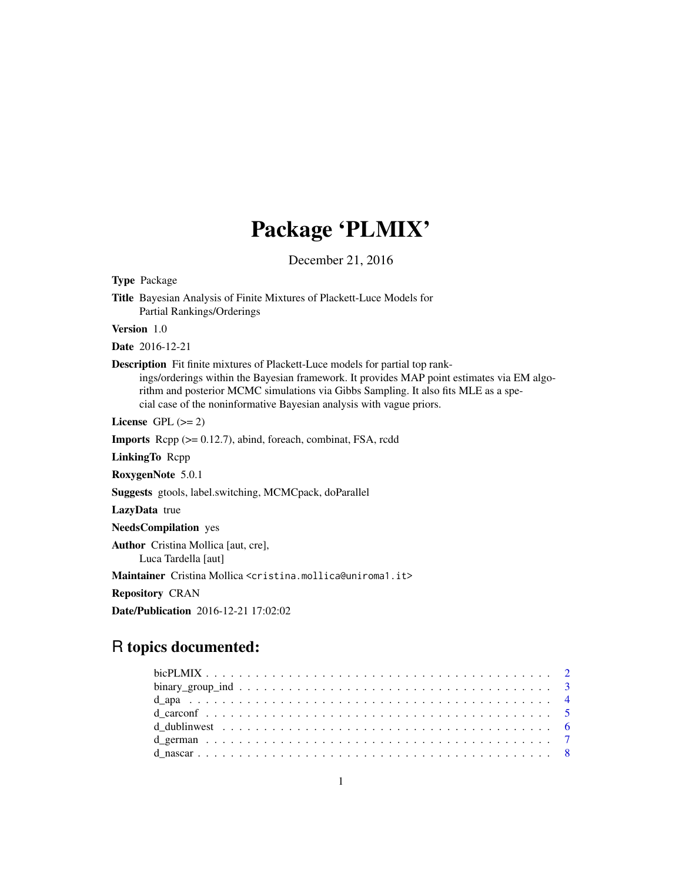# Package 'PLMIX'

December 21, 2016

<span id="page-0-0"></span>Type Package Title Bayesian Analysis of Finite Mixtures of Plackett-Luce Models for Partial Rankings/Orderings Version 1.0 Date 2016-12-21 Description Fit finite mixtures of Plackett-Luce models for partial top rankings/orderings within the Bayesian framework. It provides MAP point estimates via EM algorithm and posterior MCMC simulations via Gibbs Sampling. It also fits MLE as a special case of the noninformative Bayesian analysis with vague priors. License GPL  $(>= 2)$ Imports Rcpp (>= 0.12.7), abind, foreach, combinat, FSA, rcdd LinkingTo Rcpp RoxygenNote 5.0.1 Suggests gtools, label.switching, MCMCpack, doParallel LazyData true NeedsCompilation yes Author Cristina Mollica [aut, cre], Luca Tardella [aut] Maintainer Cristina Mollica <cristina.mollica@uniroma1.it> Repository CRAN

Date/Publication 2016-12-21 17:02:02

# R topics documented: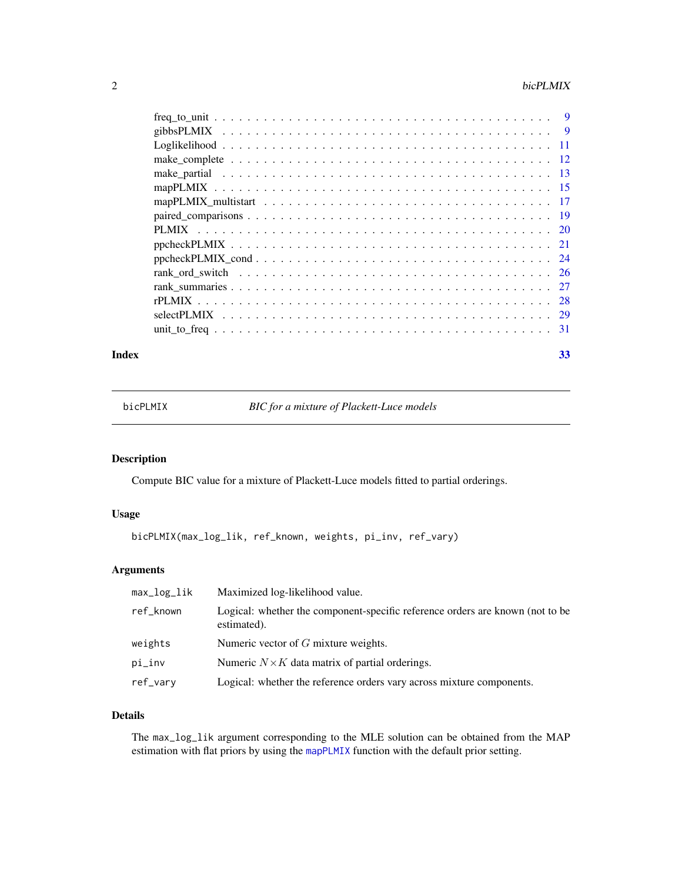#### <span id="page-1-0"></span> $2 \t\t 2$

#### **Index** [33](#page-32-0)

<span id="page-1-1"></span>bicPLMIX *BIC for a mixture of Plackett-Luce models*

# Description

Compute BIC value for a mixture of Plackett-Luce models fitted to partial orderings.

# Usage

bicPLMIX(max\_log\_lik, ref\_known, weights, pi\_inv, ref\_vary)

# Arguments

| max_log_lik | Maximized log-likelihood value.                                                              |
|-------------|----------------------------------------------------------------------------------------------|
| ref_known   | Logical: whether the component-specific reference orders are known (not to be<br>estimated). |
| weights     | Numeric vector of $G$ mixture weights.                                                       |
| pi_inv      | Numeric $N \times K$ data matrix of partial orderings.                                       |
| ref_vary    | Logical: whether the reference orders vary across mixture components.                        |

# Details

The max\_log\_lik argument corresponding to the MLE solution can be obtained from the MAP estimation with flat priors by using the [mapPLMIX](#page-14-1) function with the default prior setting.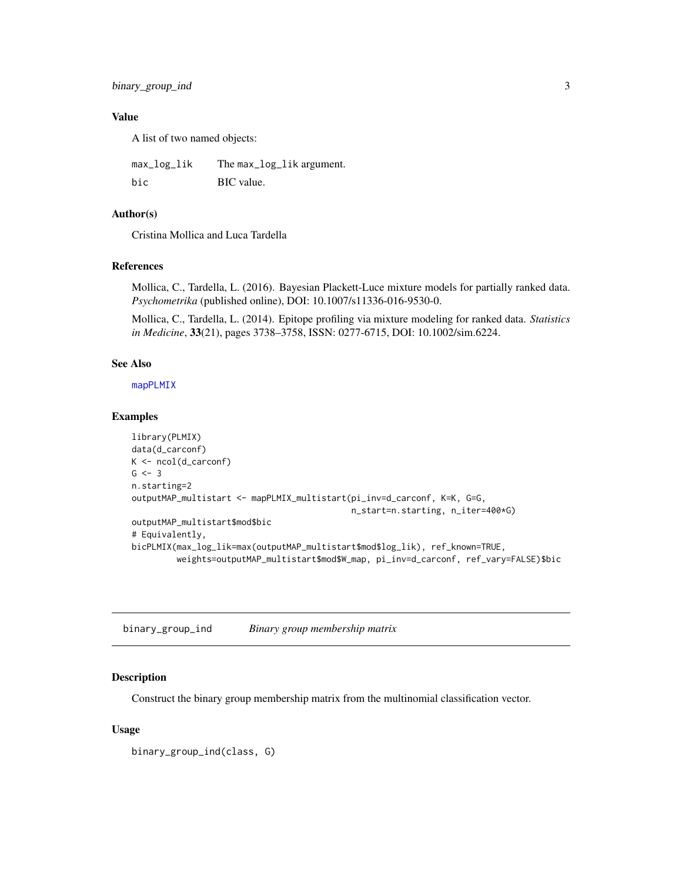<span id="page-2-0"></span>binary\_group\_ind 3

# Value

A list of two named objects:

max\_log\_lik The max\_log\_lik argument. bic BIC value.

# Author(s)

Cristina Mollica and Luca Tardella

# References

Mollica, C., Tardella, L. (2016). Bayesian Plackett-Luce mixture models for partially ranked data. *Psychometrika* (published online), DOI: 10.1007/s11336-016-9530-0.

Mollica, C., Tardella, L. (2014). Epitope profiling via mixture modeling for ranked data. *Statistics in Medicine*, 33(21), pages 3738–3758, ISSN: 0277-6715, DOI: 10.1002/sim.6224.

# See Also

[mapPLMIX](#page-14-1)

#### Examples

```
library(PLMIX)
data(d_carconf)
K <- ncol(d_carconf)
G \le -3n.starting=2
outputMAP_multistart <- mapPLMIX_multistart(pi_inv=d_carconf, K=K, G=G,
                                            n_start=n.starting, n_iter=400*G)
outputMAP_multistart$mod$bic
# Equivalently,
bicPLMIX(max_log_lik=max(outputMAP_multistart$mod$log_lik), ref_known=TRUE,
         weights=outputMAP_multistart$mod$W_map, pi_inv=d_carconf, ref_vary=FALSE)$bic
```
<span id="page-2-1"></span>binary\_group\_ind *Binary group membership matrix*

#### Description

Construct the binary group membership matrix from the multinomial classification vector.

#### Usage

binary\_group\_ind(class, G)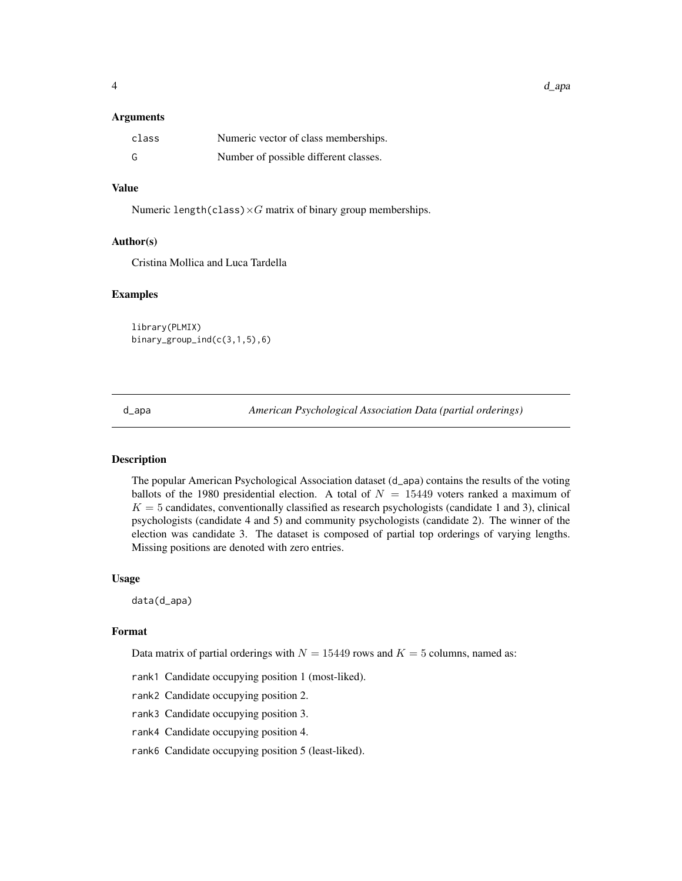#### <span id="page-3-0"></span>Arguments

| class | Numeric vector of class memberships.  |
|-------|---------------------------------------|
| G     | Number of possible different classes. |

# Value

Numeric length(class) $\times G$  matrix of binary group memberships.

#### Author(s)

Cristina Mollica and Luca Tardella

# Examples

library(PLMIX) binary\_group\_ind(c(3,1,5),6)

d\_apa *American Psychological Association Data (partial orderings)*

# Description

The popular American Psychological Association dataset (d\_apa) contains the results of the voting ballots of the 1980 presidential election. A total of  $N = 15449$  voters ranked a maximum of  $K = 5$  candidates, conventionally classified as research psychologists (candidate 1 and 3), clinical psychologists (candidate 4 and 5) and community psychologists (candidate 2). The winner of the election was candidate 3. The dataset is composed of partial top orderings of varying lengths. Missing positions are denoted with zero entries.

#### Usage

data(d\_apa)

#### Format

Data matrix of partial orderings with  $N = 15449$  rows and  $K = 5$  columns, named as:

- rank1 Candidate occupying position 1 (most-liked).
- rank2 Candidate occupying position 2.
- rank3 Candidate occupying position 3.
- rank4 Candidate occupying position 4.
- rank6 Candidate occupying position 5 (least-liked).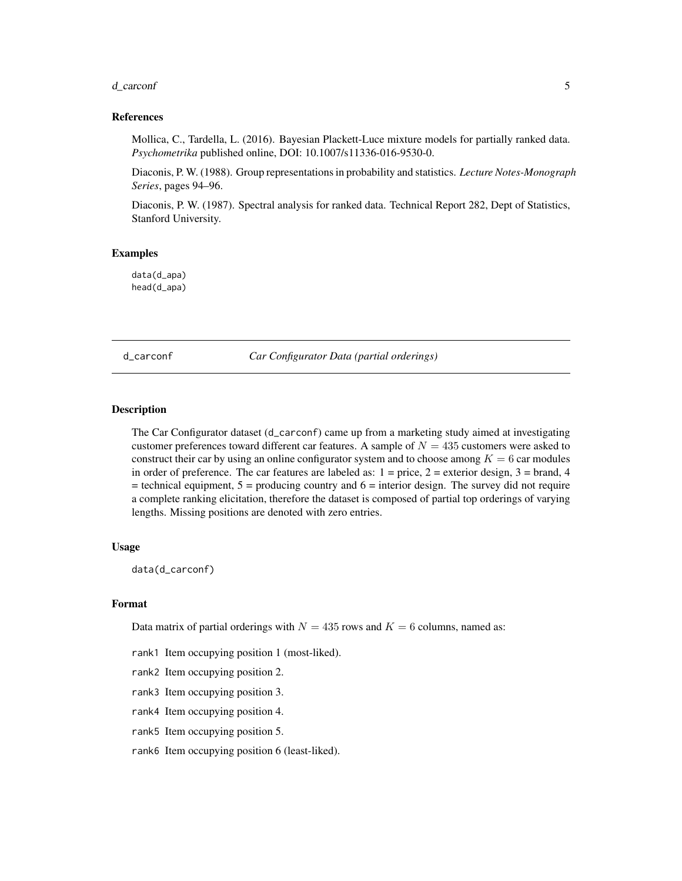#### <span id="page-4-0"></span>d\_carconf 5

#### References

Mollica, C., Tardella, L. (2016). Bayesian Plackett-Luce mixture models for partially ranked data. *Psychometrika* published online, DOI: 10.1007/s11336-016-9530-0.

Diaconis, P. W. (1988). Group representations in probability and statistics. *Lecture Notes-Monograph Series*, pages 94–96.

Diaconis, P. W. (1987). Spectral analysis for ranked data. Technical Report 282, Dept of Statistics, Stanford University.

#### Examples

data(d\_apa) head(d\_apa)

d\_carconf *Car Configurator Data (partial orderings)*

#### Description

The Car Configurator dataset (d\_carconf) came up from a marketing study aimed at investigating customer preferences toward different car features. A sample of  $N = 435$  customers were asked to construct their car by using an online configurator system and to choose among  $K = 6$  car modules in order of preference. The car features are labeled as:  $1 = \text{price}$ ,  $2 = \text{exterior design}$ ,  $3 = \text{brand}$ ,  $4$  $=$  technical equipment,  $5 =$  producing country and  $6 =$  interior design. The survey did not require a complete ranking elicitation, therefore the dataset is composed of partial top orderings of varying lengths. Missing positions are denoted with zero entries.

#### Usage

data(d\_carconf)

#### Format

Data matrix of partial orderings with  $N = 435$  rows and  $K = 6$  columns, named as:

rank1 Item occupying position 1 (most-liked).

- rank2 Item occupying position 2.
- rank3 Item occupying position 3.
- rank4 Item occupying position 4.
- rank5 Item occupying position 5.

rank6 Item occupying position 6 (least-liked).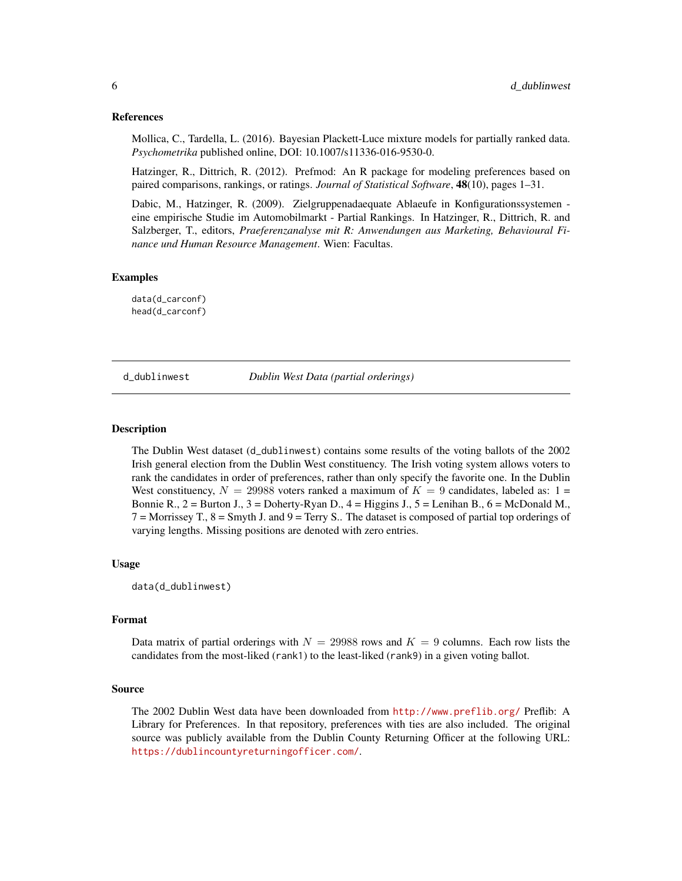#### <span id="page-5-0"></span>References

Mollica, C., Tardella, L. (2016). Bayesian Plackett-Luce mixture models for partially ranked data. *Psychometrika* published online, DOI: 10.1007/s11336-016-9530-0.

Hatzinger, R., Dittrich, R. (2012). Prefmod: An R package for modeling preferences based on paired comparisons, rankings, or ratings. *Journal of Statistical Software*, 48(10), pages 1–31.

Dabic, M., Hatzinger, R. (2009). Zielgruppenadaequate Ablaeufe in Konfigurationssystemen eine empirische Studie im Automobilmarkt - Partial Rankings. In Hatzinger, R., Dittrich, R. and Salzberger, T., editors, *Praeferenzanalyse mit R: Anwendungen aus Marketing, Behavioural Finance und Human Resource Management*. Wien: Facultas.

#### Examples

data(d\_carconf) head(d\_carconf)

d\_dublinwest *Dublin West Data (partial orderings)*

#### Description

The Dublin West dataset (d\_dublinwest) contains some results of the voting ballots of the 2002 Irish general election from the Dublin West constituency. The Irish voting system allows voters to rank the candidates in order of preferences, rather than only specify the favorite one. In the Dublin West constituency,  $N = 29988$  voters ranked a maximum of  $K = 9$  candidates, labeled as: 1 = Bonnie R.,  $2 =$  Burton J.,  $3 =$  Doherty-Ryan D.,  $4 =$  Higgins J.,  $5 =$  Lenihan B.,  $6 =$  McDonald M.,  $7 =$  Morrissey T.,  $8 =$  Smyth J. and  $9 =$  Terry S.. The dataset is composed of partial top orderings of varying lengths. Missing positions are denoted with zero entries.

#### Usage

data(d\_dublinwest)

#### Format

Data matrix of partial orderings with  $N = 29988$  rows and  $K = 9$  columns. Each row lists the candidates from the most-liked (rank1) to the least-liked (rank9) in a given voting ballot.

#### Source

The 2002 Dublin West data have been downloaded from <http://www.preflib.org/> Preflib: A Library for Preferences. In that repository, preferences with ties are also included. The original source was publicly available from the Dublin County Returning Officer at the following URL: <https://dublincountyreturningofficer.com/>.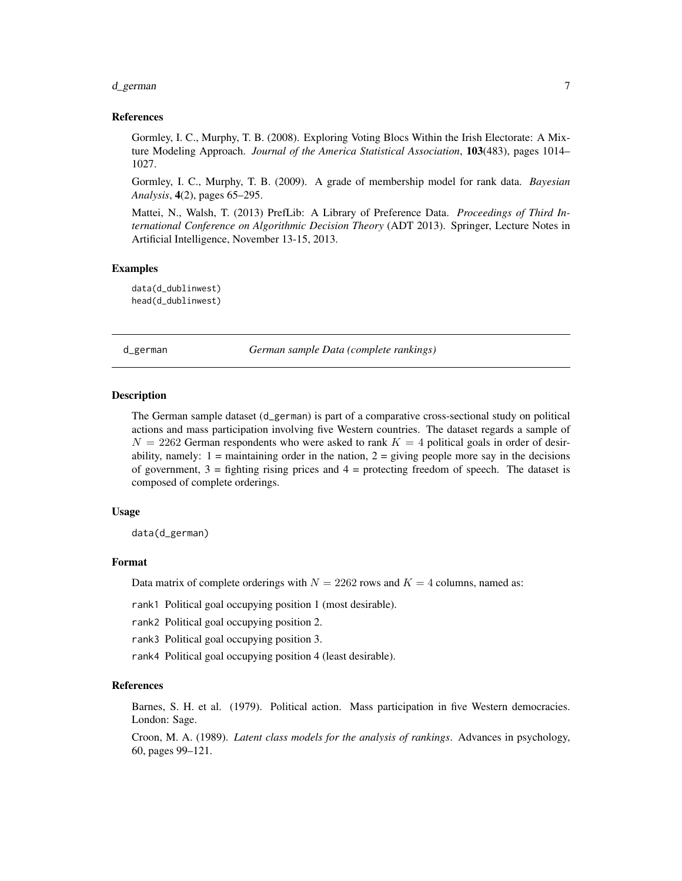#### <span id="page-6-0"></span>d\_german 7

#### References

Gormley, I. C., Murphy, T. B. (2008). Exploring Voting Blocs Within the Irish Electorate: A Mixture Modeling Approach. *Journal of the America Statistical Association*, 103(483), pages 1014– 1027.

Gormley, I. C., Murphy, T. B. (2009). A grade of membership model for rank data. *Bayesian Analysis*, 4(2), pages 65–295.

Mattei, N., Walsh, T. (2013) PrefLib: A Library of Preference Data. *Proceedings of Third International Conference on Algorithmic Decision Theory* (ADT 2013). Springer, Lecture Notes in Artificial Intelligence, November 13-15, 2013.

#### Examples

data(d\_dublinwest) head(d\_dublinwest)

d\_german *German sample Data (complete rankings)*

# Description

The German sample dataset (d\_german) is part of a comparative cross-sectional study on political actions and mass participation involving five Western countries. The dataset regards a sample of  $N = 2262$  German respondents who were asked to rank  $K = 4$  political goals in order of desirability, namely:  $1 =$  maintaining order in the nation,  $2 =$  giving people more say in the decisions of government,  $3 =$  fighting rising prices and  $4 =$  protecting freedom of speech. The dataset is composed of complete orderings.

#### Usage

data(d\_german)

# Format

Data matrix of complete orderings with  $N = 2262$  rows and  $K = 4$  columns, named as:

rank1 Political goal occupying position 1 (most desirable).

rank2 Political goal occupying position 2.

rank3 Political goal occupying position 3.

rank4 Political goal occupying position 4 (least desirable).

# References

Barnes, S. H. et al. (1979). Political action. Mass participation in five Western democracies. London: Sage.

Croon, M. A. (1989). *Latent class models for the analysis of rankings*. Advances in psychology, 60, pages 99–121.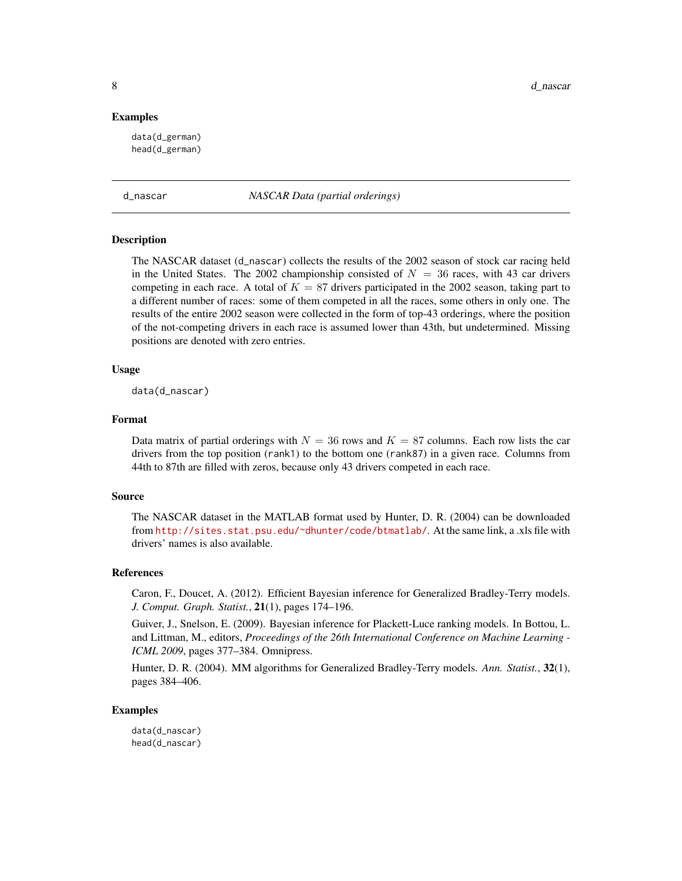<span id="page-7-0"></span>8 d\_nascar d\_nascar d\_nascar d\_nascar d\_nascar d\_nascar d\_nascar d\_nascar d\_nascar d\_nascar d\_nascar d\_nascar d\_nascar d\_nascar d\_nascar d\_nascar d\_nascar d\_nascar d\_nascar d\_nascar d\_nascar d\_nascar d\_nascar d\_nascar d\_na

#### Examples

data(d\_german) head(d\_german)

d\_nascar *NASCAR Data (partial orderings)*

#### **Description**

The NASCAR dataset (d\_nascar) collects the results of the 2002 season of stock car racing held in the United States. The 2002 championship consisted of  $N = 36$  races, with 43 car drivers competing in each race. A total of  $K = 87$  drivers participated in the 2002 season, taking part to a different number of races: some of them competed in all the races, some others in only one. The results of the entire 2002 season were collected in the form of top-43 orderings, where the position of the not-competing drivers in each race is assumed lower than 43th, but undetermined. Missing positions are denoted with zero entries.

#### Usage

data(d\_nascar)

#### Format

Data matrix of partial orderings with  $N = 36$  rows and  $K = 87$  columns. Each row lists the car drivers from the top position (rank1) to the bottom one (rank87) in a given race. Columns from 44th to 87th are filled with zeros, because only 43 drivers competed in each race.

#### Source

The NASCAR dataset in the MATLAB format used by Hunter, D. R. (2004) can be downloaded from <http://sites.stat.psu.edu/~dhunter/code/btmatlab/>. At the same link, a .xls file with drivers' names is also available.

#### References

Caron, F., Doucet, A. (2012). Efficient Bayesian inference for Generalized Bradley-Terry models. *J. Comput. Graph. Statist.*, 21(1), pages 174–196.

Guiver, J., Snelson, E. (2009). Bayesian inference for Plackett-Luce ranking models. In Bottou, L. and Littman, M., editors, *Proceedings of the 26th International Conference on Machine Learning - ICML 2009*, pages 377–384. Omnipress.

Hunter, D. R. (2004). MM algorithms for Generalized Bradley-Terry models. *Ann. Statist.*, 32(1), pages 384–406.

#### Examples

data(d\_nascar) head(d\_nascar)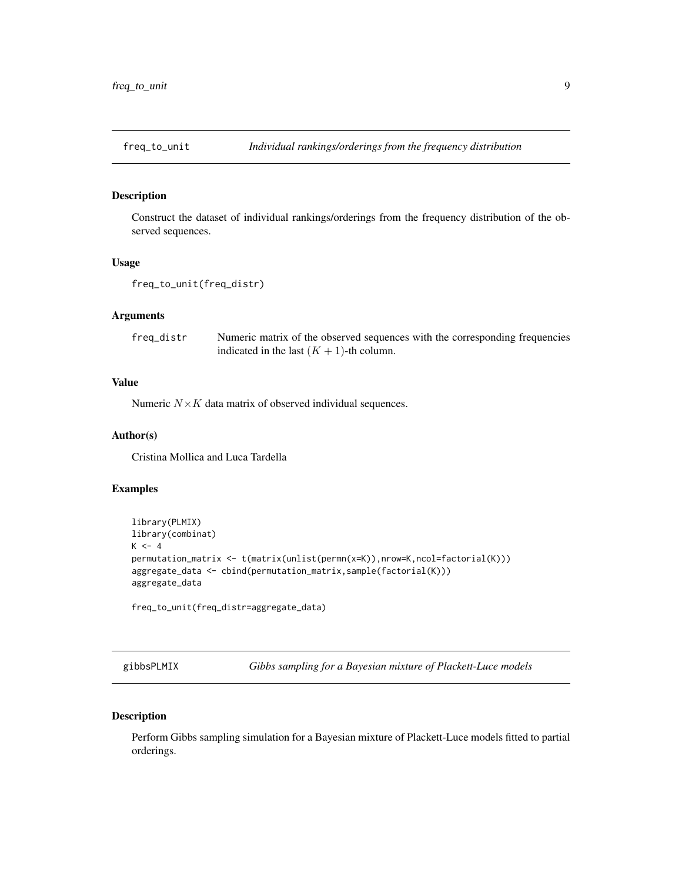<span id="page-8-1"></span><span id="page-8-0"></span>

# Description

Construct the dataset of individual rankings/orderings from the frequency distribution of the observed sequences.

# Usage

```
freq_to_unit(freq_distr)
```
#### Arguments

freq\_distr Numeric matrix of the observed sequences with the corresponding frequencies indicated in the last  $(K + 1)$ -th column.

# Value

Numeric  $N \times K$  data matrix of observed individual sequences.

# Author(s)

Cristina Mollica and Luca Tardella

# Examples

```
library(PLMIX)
library(combinat)
K < -4permutation_matrix <- t(matrix(unlist(permn(x=K)),nrow=K,ncol=factorial(K)))
aggregate_data <- cbind(permutation_matrix,sample(factorial(K)))
aggregate_data
```
freq\_to\_unit(freq\_distr=aggregate\_data)

<span id="page-8-2"></span>gibbsPLMIX *Gibbs sampling for a Bayesian mixture of Plackett-Luce models*

# Description

Perform Gibbs sampling simulation for a Bayesian mixture of Plackett-Luce models fitted to partial orderings.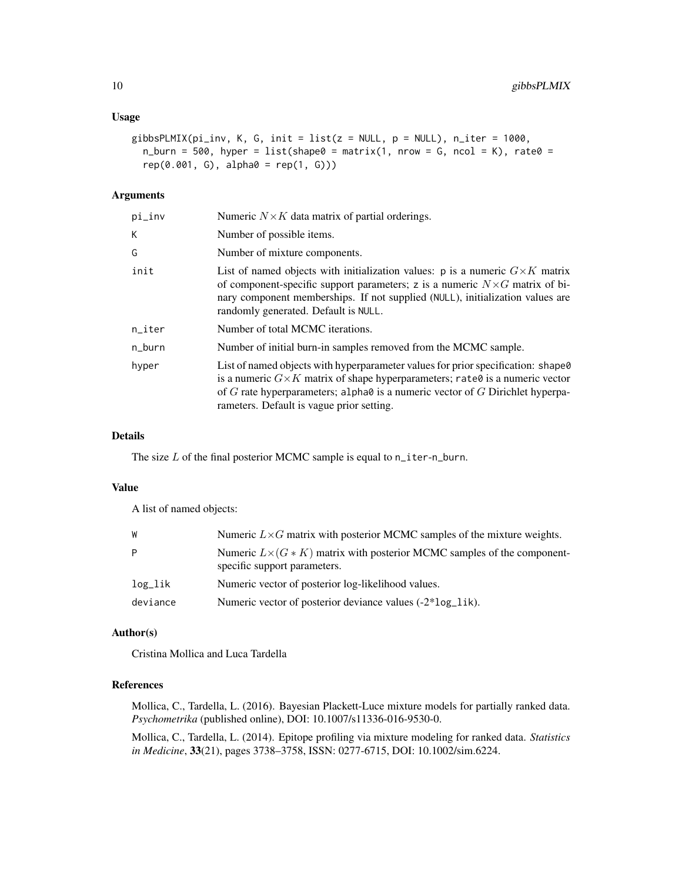# Usage

```
gibbsPLMIX(pi_inv, K, G, init = list(z = NULL, p = NULL), n_iter = 1000,
 n_burn = 500, hyper = list(shape0 = matrix(1, nrow = G, ncol = K), rate0 =
  rep(0.001, G), alpha0 = rep(1, G))
```
# Arguments

| Numeric $N \times K$ data matrix of partial orderings.                                                                                                                                                                                                                                                                  |
|-------------------------------------------------------------------------------------------------------------------------------------------------------------------------------------------------------------------------------------------------------------------------------------------------------------------------|
| Number of possible items.                                                                                                                                                                                                                                                                                               |
| Number of mixture components.                                                                                                                                                                                                                                                                                           |
| List of named objects with initialization values: p is a numeric $G \times K$ matrix<br>of component-specific support parameters; z is a numeric $N \times G$ matrix of bi-<br>nary component memberships. If not supplied (NULL), initialization values are<br>randomly generated. Default is NULL.                    |
| Number of total MCMC iterations.                                                                                                                                                                                                                                                                                        |
| Number of initial burn-in samples removed from the MCMC sample.                                                                                                                                                                                                                                                         |
| List of named objects with hyperparameter values for prior specification: shape $\theta$<br>is a numeric $G \times K$ matrix of shape hyperparameters; rate 0 is a numeric vector<br>of G rate hyperparameters; alpha $\theta$ is a numeric vector of G Dirichlet hyperpa-<br>rameters. Default is vague prior setting. |
|                                                                                                                                                                                                                                                                                                                         |

# Details

The size  $L$  of the final posterior MCMC sample is equal to  $n$ \_iter-n\_burn.

#### Value

A list of named objects:

| W        | Numeric $L \times G$ matrix with posterior MCMC samples of the mixture weights.                              |
|----------|--------------------------------------------------------------------------------------------------------------|
| P        | Numeric $L\times (G*K)$ matrix with posterior MCMC samples of the component-<br>specific support parameters. |
| log_lik  | Numeric vector of posterior log-likelihood values.                                                           |
| deviance | Numeric vector of posterior deviance values (-2*log_lik).                                                    |

# Author(s)

Cristina Mollica and Luca Tardella

# References

Mollica, C., Tardella, L. (2016). Bayesian Plackett-Luce mixture models for partially ranked data. *Psychometrika* (published online), DOI: 10.1007/s11336-016-9530-0.

Mollica, C., Tardella, L. (2014). Epitope profiling via mixture modeling for ranked data. *Statistics in Medicine*, 33(21), pages 3738–3758, ISSN: 0277-6715, DOI: 10.1002/sim.6224.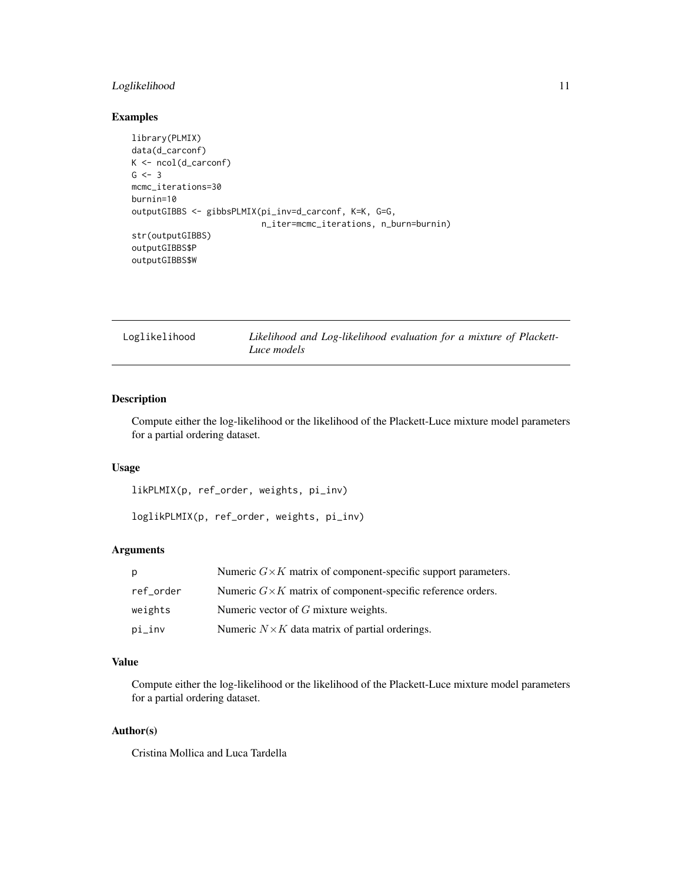# <span id="page-10-0"></span>Loglikelihood 11

# Examples

```
library(PLMIX)
data(d_carconf)
K <- ncol(d_carconf)
G \le -3mcmc_iterations=30
burnin=10
outputGIBBS <- gibbsPLMIX(pi_inv=d_carconf, K=K, G=G,
                          n_iter=mcmc_iterations, n_burn=burnin)
str(outputGIBBS)
outputGIBBS$P
outputGIBBS$W
```

| Loglikelihood | Likelihood and Log-likelihood evaluation for a mixture of Plackett- |
|---------------|---------------------------------------------------------------------|
|               | Luce models                                                         |

# <span id="page-10-1"></span>Description

Compute either the log-likelihood or the likelihood of the Plackett-Luce mixture model parameters for a partial ordering dataset.

# Usage

likPLMIX(p, ref\_order, weights, pi\_inv)

loglikPLMIX(p, ref\_order, weights, pi\_inv)

# Arguments

| . p       | Numeric $G \times K$ matrix of component-specific support parameters. |
|-----------|-----------------------------------------------------------------------|
| ref order | Numeric $G \times K$ matrix of component-specific reference orders.   |
| weights   | Numeric vector of $G$ mixture weights.                                |
| pi_inv    | Numeric $N \times K$ data matrix of partial orderings.                |

# Value

Compute either the log-likelihood or the likelihood of the Plackett-Luce mixture model parameters for a partial ordering dataset.

# Author(s)

Cristina Mollica and Luca Tardella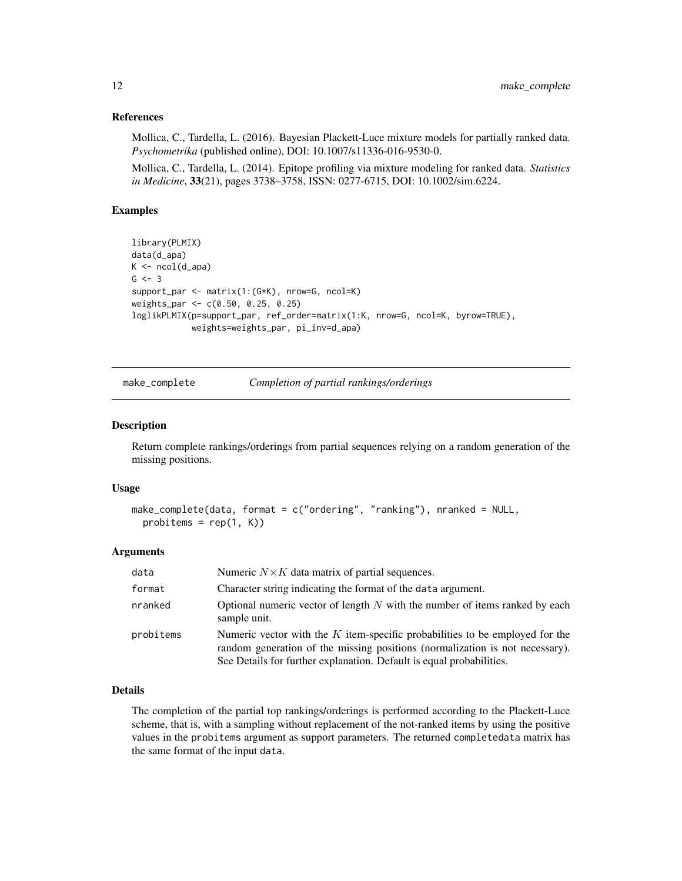# <span id="page-11-0"></span>References

Mollica, C., Tardella, L. (2016). Bayesian Plackett-Luce mixture models for partially ranked data. *Psychometrika* (published online), DOI: 10.1007/s11336-016-9530-0.

Mollica, C., Tardella, L. (2014). Epitope profiling via mixture modeling for ranked data. *Statistics in Medicine*, 33(21), pages 3738–3758, ISSN: 0277-6715, DOI: 10.1002/sim.6224.

# Examples

```
library(PLMIX)
data(d_apa)
K \leftarrow \text{ncol}(d_apa)
G \le -3support_par <- matrix(1:(G*K), nrow=G, ncol=K)
weights_par <- c(0.50, 0.25, 0.25)
loglikPLMIX(p=support_par, ref_order=matrix(1:K, nrow=G, ncol=K, byrow=TRUE),
             weights=weights_par, pi_inv=d_apa)
```
make\_complete *Completion of partial rankings/orderings*

#### Description

Return complete rankings/orderings from partial sequences relying on a random generation of the missing positions.

#### Usage

```
make_complete(data, format = c("ordering", "ranking"), nranked = NULL,
 probitems = rep(1, K)
```
#### Arguments

| data      | Numeric $N \times K$ data matrix of partial sequences.                                                                                                                                                                                 |
|-----------|----------------------------------------------------------------------------------------------------------------------------------------------------------------------------------------------------------------------------------------|
| format    | Character string indicating the format of the data argument.                                                                                                                                                                           |
| nranked   | Optional numeric vector of length $N$ with the number of items ranked by each<br>sample unit.                                                                                                                                          |
| probitems | Numeric vector with the $K$ item-specific probabilities to be employed for the<br>random generation of the missing positions (normalization is not necessary).<br>See Details for further explanation. Default is equal probabilities. |

#### Details

The completion of the partial top rankings/orderings is performed according to the Plackett-Luce scheme, that is, with a sampling without replacement of the not-ranked items by using the positive values in the probitems argument as support parameters. The returned completedata matrix has the same format of the input data.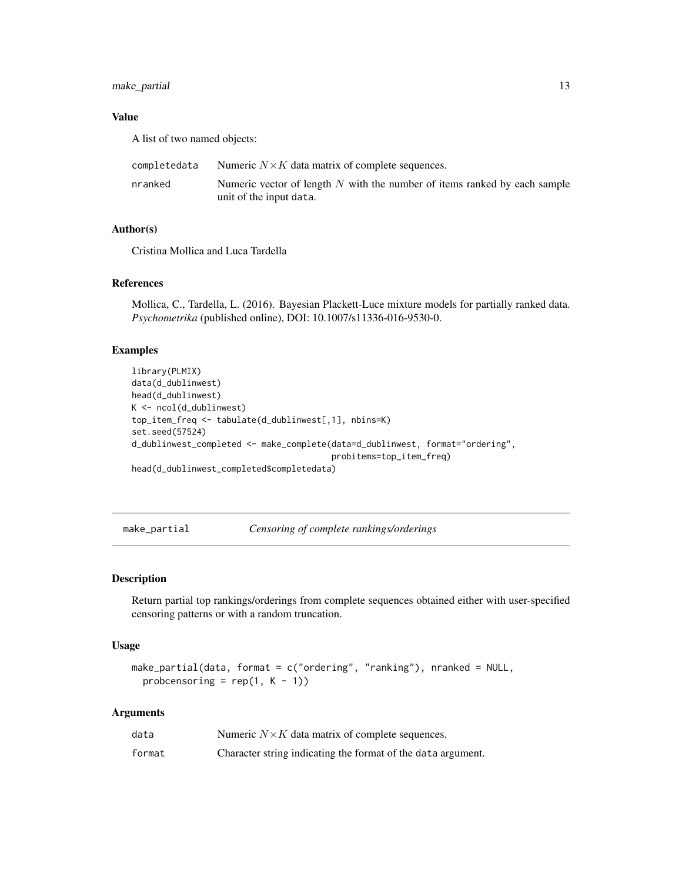# <span id="page-12-0"></span>make\_partial 13

# Value

A list of two named objects:

| completedata | Numeric $N \times K$ data matrix of complete sequences.                                                |
|--------------|--------------------------------------------------------------------------------------------------------|
| nranked      | Numeric vector of length $N$ with the number of items ranked by each sample<br>unit of the input data. |

#### Author(s)

Cristina Mollica and Luca Tardella

# References

Mollica, C., Tardella, L. (2016). Bayesian Plackett-Luce mixture models for partially ranked data. *Psychometrika* (published online), DOI: 10.1007/s11336-016-9530-0.

# Examples

```
library(PLMIX)
data(d_dublinwest)
head(d_dublinwest)
K <- ncol(d_dublinwest)
top_item_freq <- tabulate(d_dublinwest[,1], nbins=K)
set.seed(57524)
d_dublinwest_completed <- make_complete(data=d_dublinwest, format="ordering",
                                        probitems=top_item_freq)
head(d_dublinwest_completed$completedata)
```
<span id="page-12-1"></span>make\_partial *Censoring of complete rankings/orderings*

#### Description

Return partial top rankings/orderings from complete sequences obtained either with user-specified censoring patterns or with a random truncation.

#### Usage

```
make_partial(data, format = c("ordering", "ranking"), nranked = NULL,probcensoring = rep(1, K - 1)
```
#### Arguments

| data   | Numeric $N \times K$ data matrix of complete sequences.      |
|--------|--------------------------------------------------------------|
| format | Character string indicating the format of the data argument. |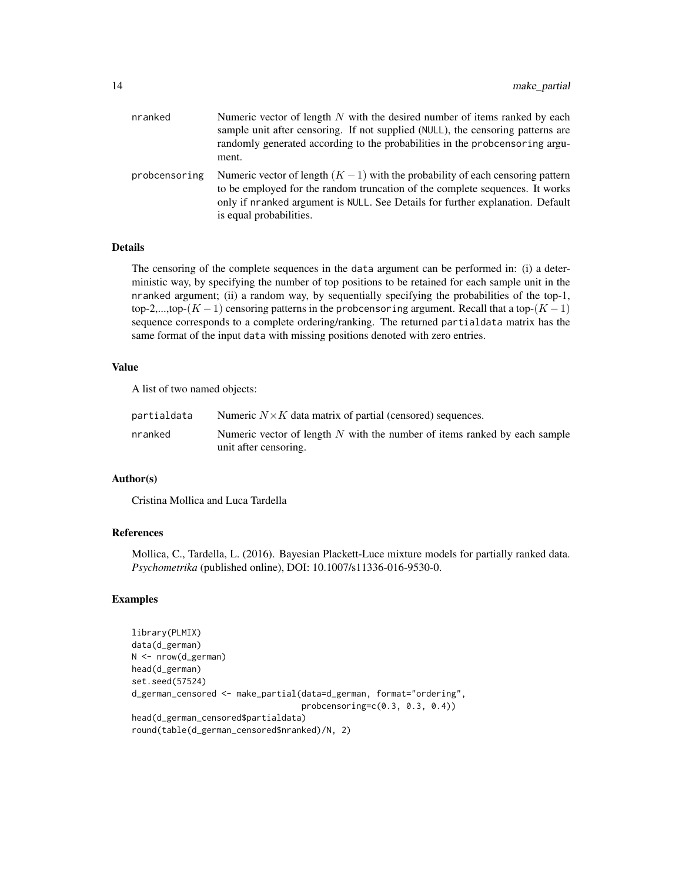| nranked       | Numeric vector of length $N$ with the desired number of items ranked by each<br>sample unit after censoring. If not supplied (NULL), the censoring patterns are<br>randomly generated according to the probabilities in the probcensoring argu-<br>ment.                       |
|---------------|--------------------------------------------------------------------------------------------------------------------------------------------------------------------------------------------------------------------------------------------------------------------------------|
| probcensoring | Numeric vector of length $(K - 1)$ with the probability of each censoring pattern<br>to be employed for the random truncation of the complete sequences. It works<br>only if nranked argument is NULL. See Details for further explanation. Default<br>is equal probabilities. |

# Details

The censoring of the complete sequences in the data argument can be performed in: (i) a deterministic way, by specifying the number of top positions to be retained for each sample unit in the nranked argument; (ii) a random way, by sequentially specifying the probabilities of the top-1, top-2,...,top- $(K-1)$  censoring patterns in the probcensoring argument. Recall that a top- $(K-1)$ sequence corresponds to a complete ordering/ranking. The returned partialdata matrix has the same format of the input data with missing positions denoted with zero entries.

#### Value

A list of two named objects:

| partialdata | Numeric $N \times K$ data matrix of partial (censored) sequences.                                    |
|-------------|------------------------------------------------------------------------------------------------------|
| nranked     | Numeric vector of length $N$ with the number of items ranked by each sample<br>unit after censoring. |

# Author(s)

Cristina Mollica and Luca Tardella

# References

Mollica, C., Tardella, L. (2016). Bayesian Plackett-Luce mixture models for partially ranked data. *Psychometrika* (published online), DOI: 10.1007/s11336-016-9530-0.

```
library(PLMIX)
data(d_german)
N <- nrow(d_german)
head(d_german)
set.seed(57524)
d_german_censored <- make_partial(data=d_german, format="ordering",
                                  probcensoring=c(0.3, 0.3, 0.4))
head(d_german_censored$partialdata)
round(table(d_german_censored$nranked)/N, 2)
```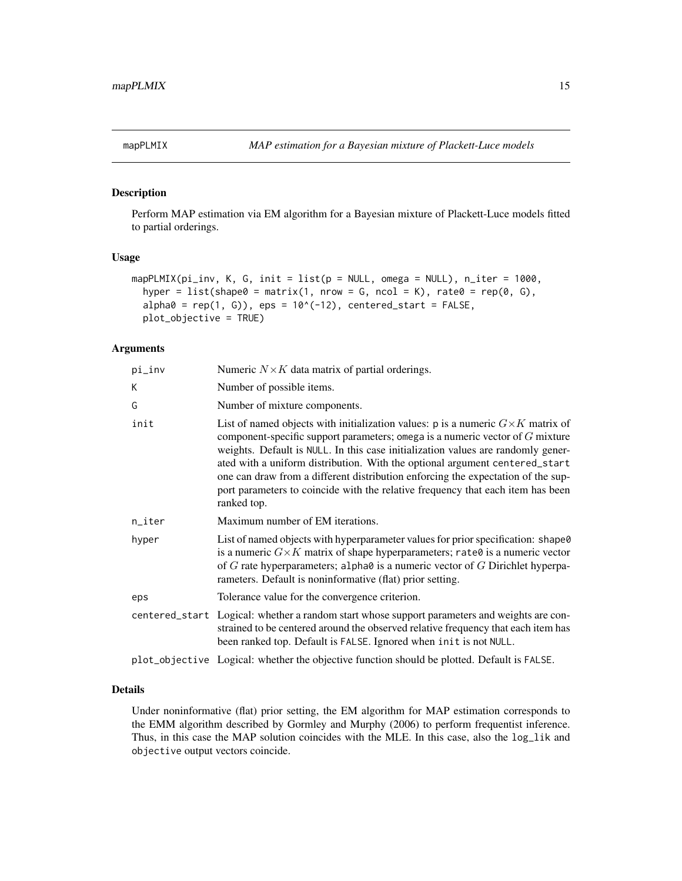<span id="page-14-1"></span><span id="page-14-0"></span>

#### Description

Perform MAP estimation via EM algorithm for a Bayesian mixture of Plackett-Luce models fitted to partial orderings.

#### Usage

```
mapPLMIX(pi_inv, K, G, init = list(p = NULL, omega = NULL), nitter = 1000,hyper = list(shape0 = matrix(1, nrow = G, ncol = K), rate0 = rep(0, G),
  alpha0 = rep(1, G), eps = 10^(-12), centered_start = FALSE,
 plot_objective = TRUE)
```
# Arguments

| pi_inv | Numeric $N \times K$ data matrix of partial orderings.                                                                                                                                                                                                                                                                                                                                                                                                                                                                              |
|--------|-------------------------------------------------------------------------------------------------------------------------------------------------------------------------------------------------------------------------------------------------------------------------------------------------------------------------------------------------------------------------------------------------------------------------------------------------------------------------------------------------------------------------------------|
| K      | Number of possible items.                                                                                                                                                                                                                                                                                                                                                                                                                                                                                                           |
| G      | Number of mixture components.                                                                                                                                                                                                                                                                                                                                                                                                                                                                                                       |
| init   | List of named objects with initialization values: p is a numeric $G \times K$ matrix of<br>component-specific support parameters; omega is a numeric vector of $G$ mixture<br>weights. Default is NULL. In this case initialization values are randomly gener-<br>ated with a uniform distribution. With the optional argument centered_start<br>one can draw from a different distribution enforcing the expectation of the sup-<br>port parameters to coincide with the relative frequency that each item has been<br>ranked top. |
| n_iter | Maximum number of EM iterations.                                                                                                                                                                                                                                                                                                                                                                                                                                                                                                    |
| hyper  | List of named objects with hyperparameter values for prior specification: shape0<br>is a numeric $G \times K$ matrix of shape hyperparameters; rate 0 is a numeric vector<br>of $G$ rate hyperparameters; alpha $\theta$ is a numeric vector of $G$ Dirichlet hyperpa-<br>rameters. Default is noninformative (flat) prior setting.                                                                                                                                                                                                 |
| eps    | Tolerance value for the convergence criterion.                                                                                                                                                                                                                                                                                                                                                                                                                                                                                      |
|        | centered_start Logical: whether a random start whose support parameters and weights are con-<br>strained to be centered around the observed relative frequency that each item has<br>been ranked top. Default is FALSE. Ignored when init is not NULL.                                                                                                                                                                                                                                                                              |
|        | plot_objective Logical: whether the objective function should be plotted. Default is FALSE.                                                                                                                                                                                                                                                                                                                                                                                                                                         |

#### Details

Under noninformative (flat) prior setting, the EM algorithm for MAP estimation corresponds to the EMM algorithm described by Gormley and Murphy (2006) to perform frequentist inference. Thus, in this case the MAP solution coincides with the MLE. In this case, also the log\_lik and objective output vectors coincide.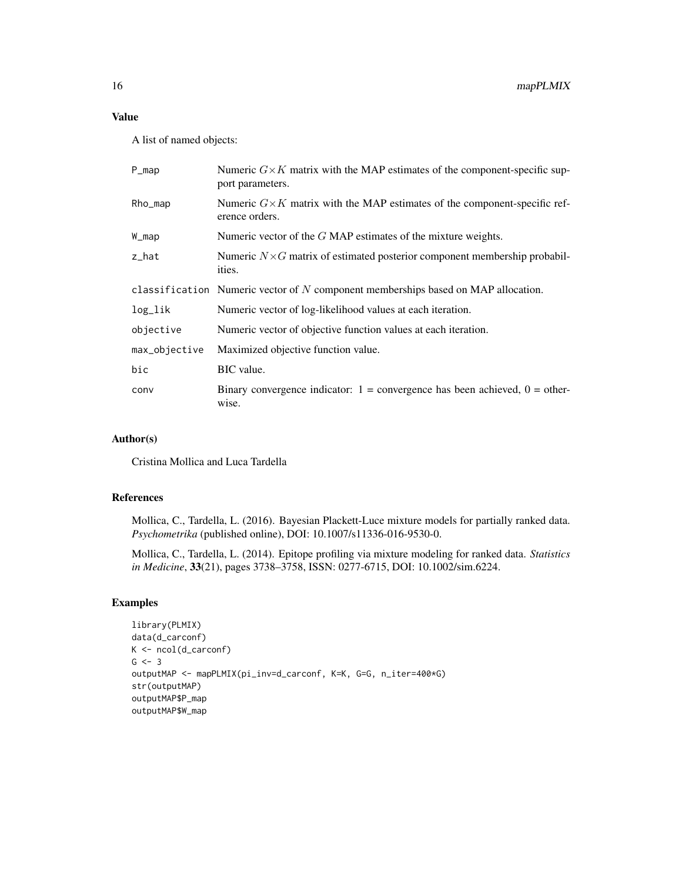A list of named objects:

| $P_{map}$     | Numeric $G\times K$ matrix with the MAP estimates of the component-specific sup-<br>port parameters. |
|---------------|------------------------------------------------------------------------------------------------------|
| Rho_map       | Numeric $G\times K$ matrix with the MAP estimates of the component-specific ref-<br>erence orders.   |
| W_map         | Numeric vector of the $G$ MAP estimates of the mixture weights.                                      |
| z_hat         | Numeric $N \times G$ matrix of estimated posterior component membership probabil-<br>ities.          |
|               | classification Numeric vector of $N$ component memberships based on MAP allocation.                  |
| log_lik       | Numeric vector of log-likelihood values at each iteration.                                           |
| objective     | Numeric vector of objective function values at each iteration.                                       |
| max_objective | Maximized objective function value.                                                                  |
| bic           | BIC value.                                                                                           |
| conv          | Binary convergence indicator: $1 =$ convergence has been achieved, $0 =$ other-<br>wise.             |

# Author(s)

Cristina Mollica and Luca Tardella

# References

Mollica, C., Tardella, L. (2016). Bayesian Plackett-Luce mixture models for partially ranked data. *Psychometrika* (published online), DOI: 10.1007/s11336-016-9530-0.

Mollica, C., Tardella, L. (2014). Epitope profiling via mixture modeling for ranked data. *Statistics in Medicine*, 33(21), pages 3738–3758, ISSN: 0277-6715, DOI: 10.1002/sim.6224.

```
library(PLMIX)
data(d_carconf)
K \leftarrow \text{ncol}(d_{\text{carconf}})G \le -3outputMAP <- mapPLMIX(pi_inv=d_carconf, K=K, G=G, n_iter=400*G)
str(outputMAP)
outputMAP$P_map
outputMAP$W_map
```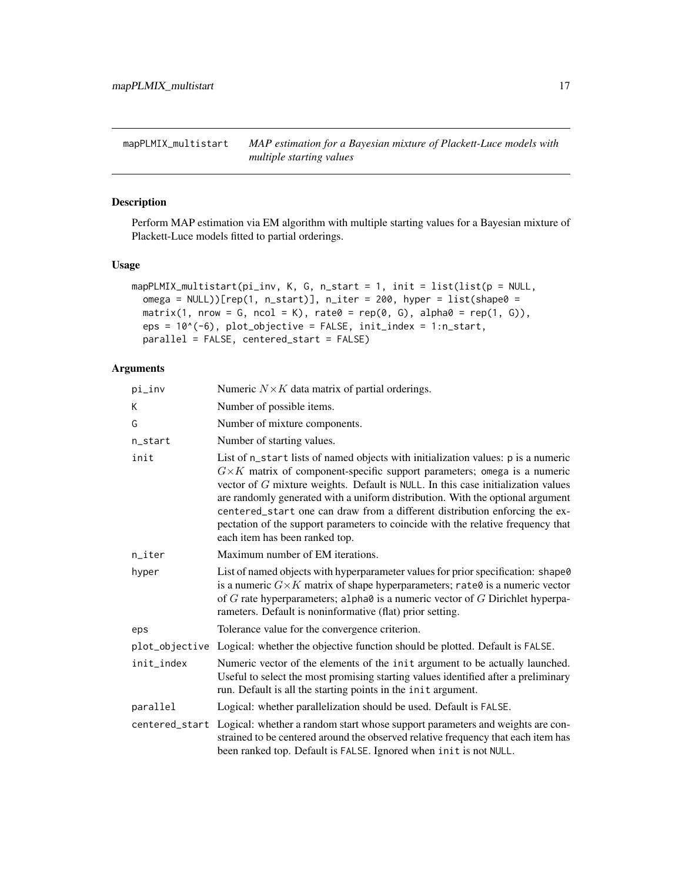<span id="page-16-1"></span><span id="page-16-0"></span>mapPLMIX\_multistart *MAP estimation for a Bayesian mixture of Plackett-Luce models with multiple starting values*

# Description

Perform MAP estimation via EM algorithm with multiple starting values for a Bayesian mixture of Plackett-Luce models fitted to partial orderings.

# Usage

```
mapPLMIX_multistart(pi_inv, K, G, n_start = 1, init = list(list(p = NULL,
 omega = NULL))[rep(1, n_start)], n_iter = 200, hyper = list(shape0 =
 matrix(1, nrow = G, ncol = K), rate0 = rep(0, G), alpha0 = rep(1, G)),
 eps = 10^(-6), plot_objective = FALSE, init_index = 1:n_start,
 parallel = FALSE, centered_start = FALSE)
```
# Arguments

| pi_inv     | Numeric $N \times K$ data matrix of partial orderings.                                                                                                                                                                                                                                                                                                                                                                                                                                                                                            |
|------------|---------------------------------------------------------------------------------------------------------------------------------------------------------------------------------------------------------------------------------------------------------------------------------------------------------------------------------------------------------------------------------------------------------------------------------------------------------------------------------------------------------------------------------------------------|
| K          | Number of possible items.                                                                                                                                                                                                                                                                                                                                                                                                                                                                                                                         |
| G          | Number of mixture components.                                                                                                                                                                                                                                                                                                                                                                                                                                                                                                                     |
| n_start    | Number of starting values.                                                                                                                                                                                                                                                                                                                                                                                                                                                                                                                        |
| init       | List of n_start lists of named objects with initialization values: p is a numeric<br>$G\times K$ matrix of component-specific support parameters; omega is a numeric<br>vector of $G$ mixture weights. Default is NULL. In this case initialization values<br>are randomly generated with a uniform distribution. With the optional argument<br>centered_start one can draw from a different distribution enforcing the ex-<br>pectation of the support parameters to coincide with the relative frequency that<br>each item has been ranked top. |
| n_iter     | Maximum number of EM iterations.                                                                                                                                                                                                                                                                                                                                                                                                                                                                                                                  |
| hyper      | List of named objects with hyperparameter values for prior specification: shape0<br>is a numeric $G \times K$ matrix of shape hyperparameters; rate 0 is a numeric vector<br>of $G$ rate hyperparameters; alpha $\theta$ is a numeric vector of $G$ Dirichlet hyperpa-<br>rameters. Default is noninformative (flat) prior setting.                                                                                                                                                                                                               |
| eps        | Tolerance value for the convergence criterion.                                                                                                                                                                                                                                                                                                                                                                                                                                                                                                    |
|            | plot_objective Logical: whether the objective function should be plotted. Default is FALSE.                                                                                                                                                                                                                                                                                                                                                                                                                                                       |
| init_index | Numeric vector of the elements of the init argument to be actually launched.<br>Useful to select the most promising starting values identified after a preliminary<br>run. Default is all the starting points in the init argument.                                                                                                                                                                                                                                                                                                               |
| parallel   | Logical: whether parallelization should be used. Default is FALSE.                                                                                                                                                                                                                                                                                                                                                                                                                                                                                |
|            | centered_start Logical: whether a random start whose support parameters and weights are con-<br>strained to be centered around the observed relative frequency that each item has<br>been ranked top. Default is FALSE. Ignored when init is not NULL.                                                                                                                                                                                                                                                                                            |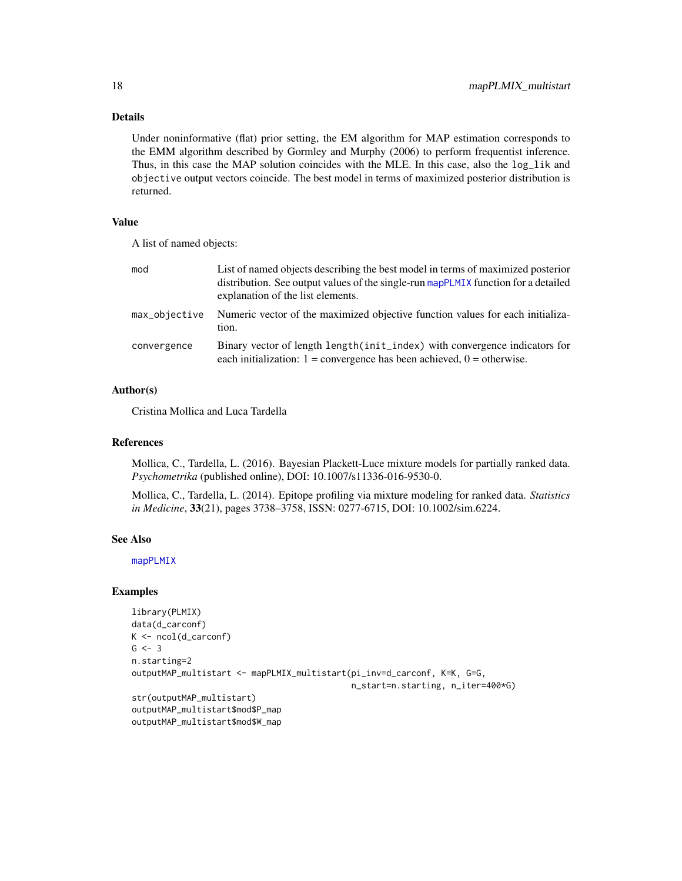# Details

Under noninformative (flat) prior setting, the EM algorithm for MAP estimation corresponds to the EMM algorithm described by Gormley and Murphy (2006) to perform frequentist inference. Thus, in this case the MAP solution coincides with the MLE. In this case, also the  $log_1 1$  k and objective output vectors coincide. The best model in terms of maximized posterior distribution is returned.

#### Value

A list of named objects:

| mod           | List of named objects describing the best model in terms of maximized posterior<br>distribution. See output values of the single-run mapPLMIX function for a detailed<br>explanation of the list elements. |
|---------------|------------------------------------------------------------------------------------------------------------------------------------------------------------------------------------------------------------|
| max_objective | Numeric vector of the maximized objective function values for each initializa-<br>tion.                                                                                                                    |
| convergence   | Binary vector of length length (init_index) with convergence indicators for<br>each initialization: $1 =$ convergence has been achieved, $0 =$ otherwise.                                                  |

# Author(s)

Cristina Mollica and Luca Tardella

#### References

Mollica, C., Tardella, L. (2016). Bayesian Plackett-Luce mixture models for partially ranked data. *Psychometrika* (published online), DOI: 10.1007/s11336-016-9530-0.

Mollica, C., Tardella, L. (2014). Epitope profiling via mixture modeling for ranked data. *Statistics in Medicine*, 33(21), pages 3738–3758, ISSN: 0277-6715, DOI: 10.1002/sim.6224.

#### See Also

[mapPLMIX](#page-14-1)

```
library(PLMIX)
data(d_carconf)
K \leftarrow \text{ncol}(d_{\text{carcon}}f)G \le -3n.starting=2
outputMAP_multistart <- mapPLMIX_multistart(pi_inv=d_carconf, K=K, G=G,
                                                n_start=n.starting, n_iter=400*G)
str(outputMAP_multistart)
outputMAP_multistart$mod$P_map
outputMAP_multistart$mod$W_map
```
<span id="page-17-0"></span>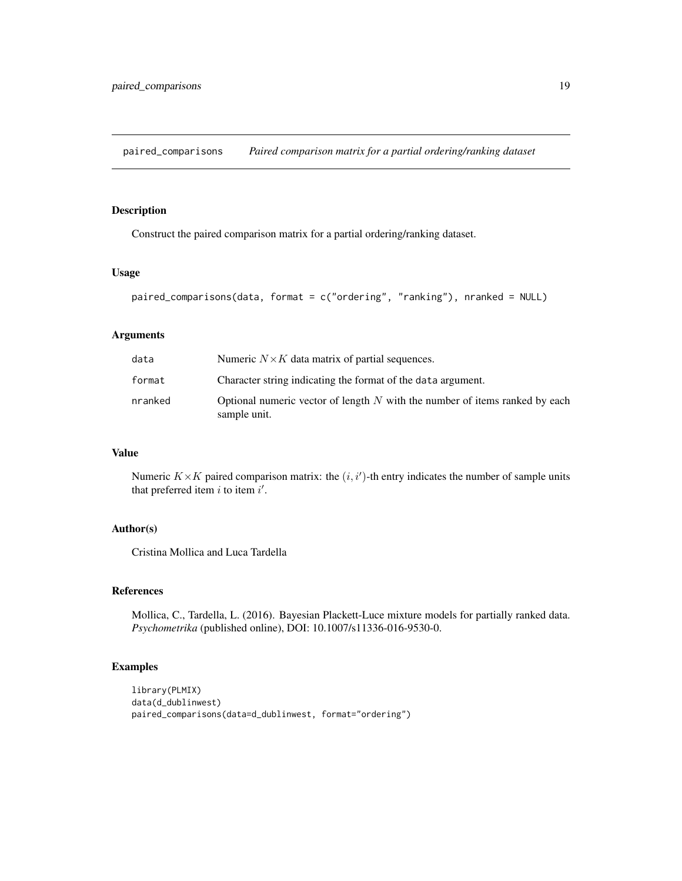<span id="page-18-1"></span><span id="page-18-0"></span>paired\_comparisons *Paired comparison matrix for a partial ordering/ranking dataset*

# Description

Construct the paired comparison matrix for a partial ordering/ranking dataset.

#### Usage

```
paired_comparisons(data, format = c("ordering", "ranking"), nranked = NULL)
```
#### Arguments

| data    | Numeric $N \times K$ data matrix of partial sequences.                                        |
|---------|-----------------------------------------------------------------------------------------------|
| format  | Character string indicating the format of the data argument.                                  |
| nranked | Optional numeric vector of length $N$ with the number of items ranked by each<br>sample unit. |

# Value

Numeric  $K \times K$  paired comparison matrix: the  $(i, i')$ -th entry indicates the number of sample units that preferred item  $i$  to item  $i'$ .

# Author(s)

Cristina Mollica and Luca Tardella

# References

Mollica, C., Tardella, L. (2016). Bayesian Plackett-Luce mixture models for partially ranked data. *Psychometrika* (published online), DOI: 10.1007/s11336-016-9530-0.

```
library(PLMIX)
data(d_dublinwest)
paired_comparisons(data=d_dublinwest, format="ordering")
```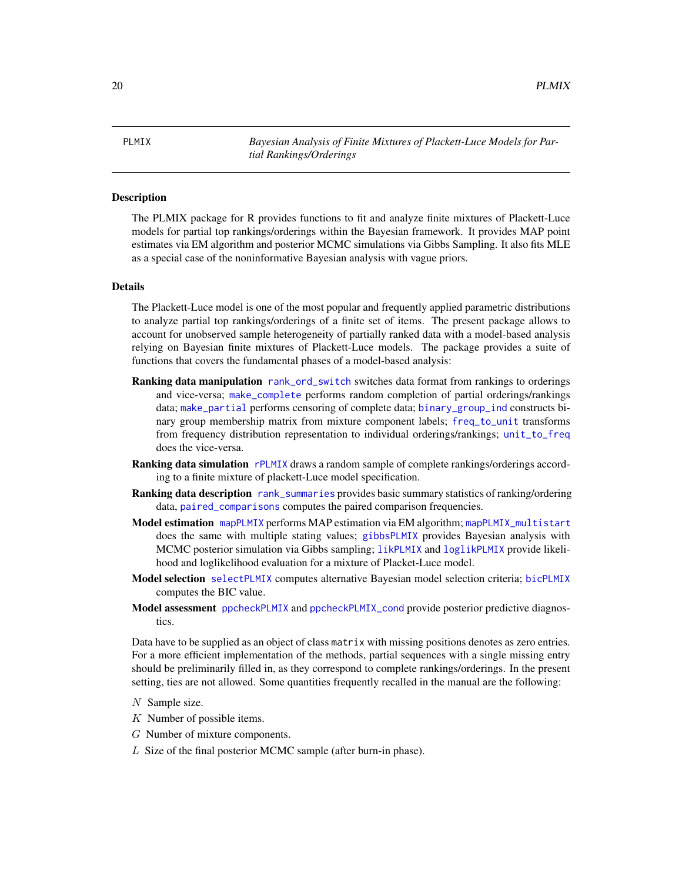<span id="page-19-0"></span>PLMIX *Bayesian Analysis of Finite Mixtures of Plackett-Luce Models for Partial Rankings/Orderings*

#### **Description**

The PLMIX package for R provides functions to fit and analyze finite mixtures of Plackett-Luce models for partial top rankings/orderings within the Bayesian framework. It provides MAP point estimates via EM algorithm and posterior MCMC simulations via Gibbs Sampling. It also fits MLE as a special case of the noninformative Bayesian analysis with vague priors.

#### Details

The Plackett-Luce model is one of the most popular and frequently applied parametric distributions to analyze partial top rankings/orderings of a finite set of items. The present package allows to account for unobserved sample heterogeneity of partially ranked data with a model-based analysis relying on Bayesian finite mixtures of Plackett-Luce models. The package provides a suite of functions that covers the fundamental phases of a model-based analysis:

- **Ranking data manipulation** [rank\\_ord\\_switch](#page-25-1) switches data format from rankings to orderings and vice-versa; [make\\_complete](#page-11-1) performs random completion of partial orderings/rankings data; [make\\_partial](#page-12-1) performs censoring of complete data; [binary\\_group\\_ind](#page-2-1) constructs binary group membership matrix from mixture component labels; [freq\\_to\\_unit](#page-8-1) transforms from frequency distribution representation to individual orderings/rankings; [unit\\_to\\_freq](#page-30-1) does the vice-versa.
- Ranking data simulation [rPLMIX](#page-27-1) draws a random sample of complete rankings/orderings according to a finite mixture of plackett-Luce model specification.
- Ranking data description [rank\\_summaries](#page-26-1) provides basic summary statistics of ranking/ordering data, [paired\\_comparisons](#page-18-1) computes the paired comparison frequencies.
- Model estimation [mapPLMIX](#page-14-1) performs MAP estimation via EM algorithm; [mapPLMIX\\_multistart](#page-16-1) does the same with multiple stating values; [gibbsPLMIX](#page-8-2) provides Bayesian analysis with MCMC posterior simulation via Gibbs sampling; [likPLMIX](#page-10-1) and [loglikPLMIX](#page-10-1) provide likelihood and loglikelihood evaluation for a mixture of Placket-Luce model.
- Model selection [selectPLMIX](#page-28-1) computes alternative Bayesian model selection criteria; [bicPLMIX](#page-1-1) computes the BIC value.
- Model assessment [ppcheckPLMIX](#page-20-1) and [ppcheckPLMIX\\_cond](#page-23-1) provide posterior predictive diagnostics.

Data have to be supplied as an object of class matrix with missing positions denotes as zero entries. For a more efficient implementation of the methods, partial sequences with a single missing entry should be preliminarily filled in, as they correspond to complete rankings/orderings. In the present setting, ties are not allowed. Some quantities frequently recalled in the manual are the following:

- K Number of possible items.
- G Number of mixture components.
- L Size of the final posterior MCMC sample (after burn-in phase).

 $N$  Sample size.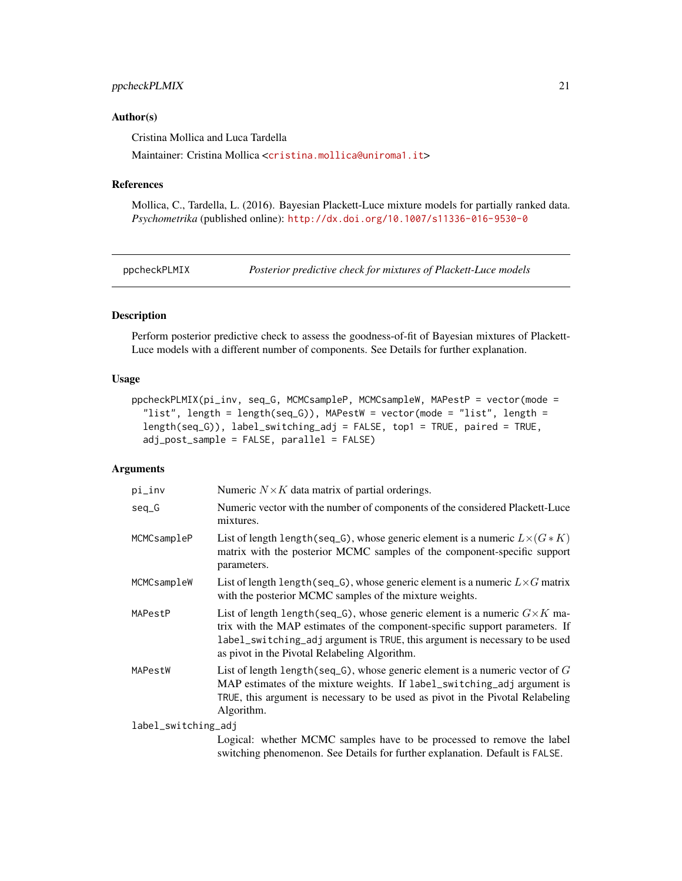# <span id="page-20-0"></span>ppcheckPLMIX 21

#### Author(s)

Cristina Mollica and Luca Tardella

Maintainer: Cristina Mollica <<cristina.mollica@uniroma1.it>>

#### References

Mollica, C., Tardella, L. (2016). Bayesian Plackett-Luce mixture models for partially ranked data. *Psychometrika* (published online): <http://dx.doi.org/10.1007/s11336-016-9530-0>

<span id="page-20-1"></span>

ppcheckPLMIX *Posterior predictive check for mixtures of Plackett-Luce models*

# Description

Perform posterior predictive check to assess the goodness-of-fit of Bayesian mixtures of Plackett-Luce models with a different number of components. See Details for further explanation.

# Usage

```
ppcheckPLMIX(pi_inv, seq_G, MCMCsampleP, MCMCsampleW, MAPestP = vector(mode =
  "list", length = length(seq_G)), MAPestW = vector(mode = "list", length =
  length(seq_G)), label_switching_adj = FALSE, top1 = TRUE, paired = TRUE,
  adj_post_sample = FALSE, parallel = FALSE)
```
#### Arguments

| pi_inv              | Numeric $N \times K$ data matrix of partial orderings.                                                                                                                                                                                                                                             |
|---------------------|----------------------------------------------------------------------------------------------------------------------------------------------------------------------------------------------------------------------------------------------------------------------------------------------------|
| $seq_G$             | Numeric vector with the number of components of the considered Plackett-Luce<br>mixtures.                                                                                                                                                                                                          |
| MCMCsampleP         | List of length length (seq_G), whose generic element is a numeric $L \times (G \ast K)$<br>matrix with the posterior MCMC samples of the component-specific support<br>parameters.                                                                                                                 |
| MCMCsampleW         | List of length length (seq_G), whose generic element is a numeric $L \times G$ matrix<br>with the posterior MCMC samples of the mixture weights.                                                                                                                                                   |
| MAPestP             | List of length length (seq_G), whose generic element is a numeric $G \times K$ ma-<br>trix with the MAP estimates of the component-specific support parameters. If<br>label_switching_adj argument is TRUE, this argument is necessary to be used<br>as pivot in the Pivotal Relabeling Algorithm. |
| MAPestW             | List of length length (seq_G), whose generic element is a numeric vector of $G$<br>MAP estimates of the mixture weights. If label_switching_adj argument is<br>TRUE, this argument is necessary to be used as pivot in the Pivotal Relabeling<br>Algorithm.                                        |
| label_switching_adj |                                                                                                                                                                                                                                                                                                    |
|                     | Logical: whether MCMC samples have to be processed to remove the label<br>switching phenomenon. See Details for further explanation. Default is FALSE.                                                                                                                                             |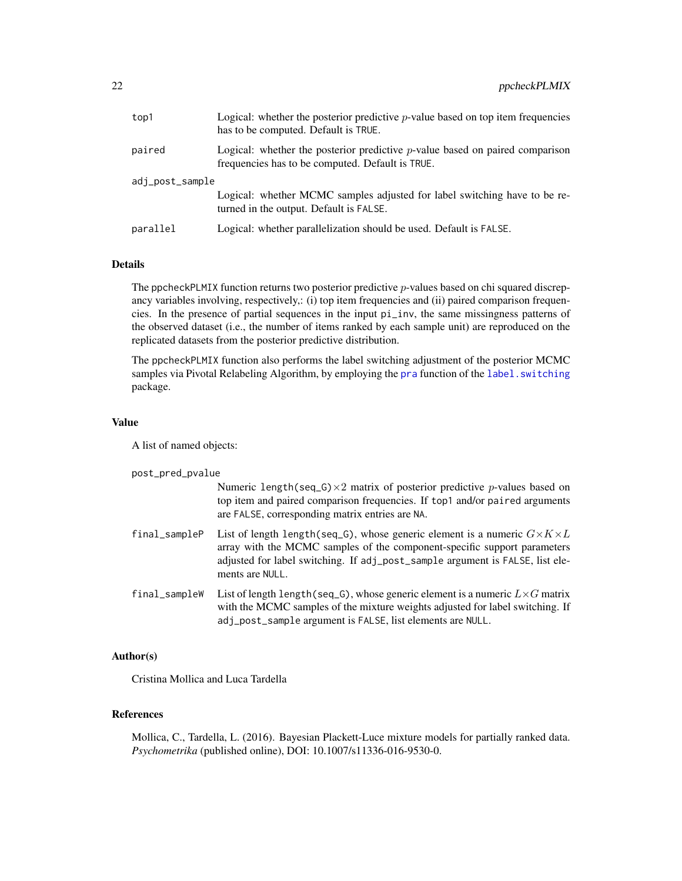<span id="page-21-0"></span>

| top1            | Logical: whether the posterior predictive $p$ -value based on top item frequencies<br>has to be computed. Default is TRUE.          |  |
|-----------------|-------------------------------------------------------------------------------------------------------------------------------------|--|
| paired          | Logical: whether the posterior predictive $p$ -value based on paired comparison<br>frequencies has to be computed. Default is TRUE. |  |
| adj_post_sample |                                                                                                                                     |  |
|                 | Logical: whether MCMC samples adjusted for label switching have to be re-<br>turned in the output. Default is FALSE.                |  |
| parallel        | Logical: whether parallelization should be used. Default is FALSE.                                                                  |  |

# Details

The ppcheckPLMIX function returns two posterior predictive  $p$ -values based on chi squared discrepancy variables involving, respectively,: (i) top item frequencies and (ii) paired comparison frequencies. In the presence of partial sequences in the input pi\_inv, the same missingness patterns of the observed dataset (i.e., the number of items ranked by each sample unit) are reproduced on the replicated datasets from the posterior predictive distribution.

The ppcheckPLMIX function also performs the label switching adjustment of the posterior MCMC samples via Pivotal Relabeling Algorithm, by employing the [pra](#page-0-0) function of the label. switching package.

# Value

A list of named objects:

post\_pred\_pvalue

|               | Numeric length(seq_G) $\times$ 2 matrix of posterior predictive p-values based on<br>top item and paired comparison frequencies. If top1 and/or paired arguments<br>are FALSE, corresponding matrix entries are NA.                                                     |
|---------------|-------------------------------------------------------------------------------------------------------------------------------------------------------------------------------------------------------------------------------------------------------------------------|
| final_sampleP | List of length length (seq G), whose generic element is a numeric $G \times K \times L$<br>array with the MCMC samples of the component-specific support parameters<br>adjusted for label switching. If adj_post_sample argument is FALSE, list ele-<br>ments are NULL. |
| final_sampleW | List of length length (seq_G), whose generic element is a numeric $L \times G$ matrix<br>with the MCMC samples of the mixture weights adjusted for label switching. If<br>adj_post_sample argument is FALSE, list elements are NULL.                                    |

# Author(s)

Cristina Mollica and Luca Tardella

# References

Mollica, C., Tardella, L. (2016). Bayesian Plackett-Luce mixture models for partially ranked data. *Psychometrika* (published online), DOI: 10.1007/s11336-016-9530-0.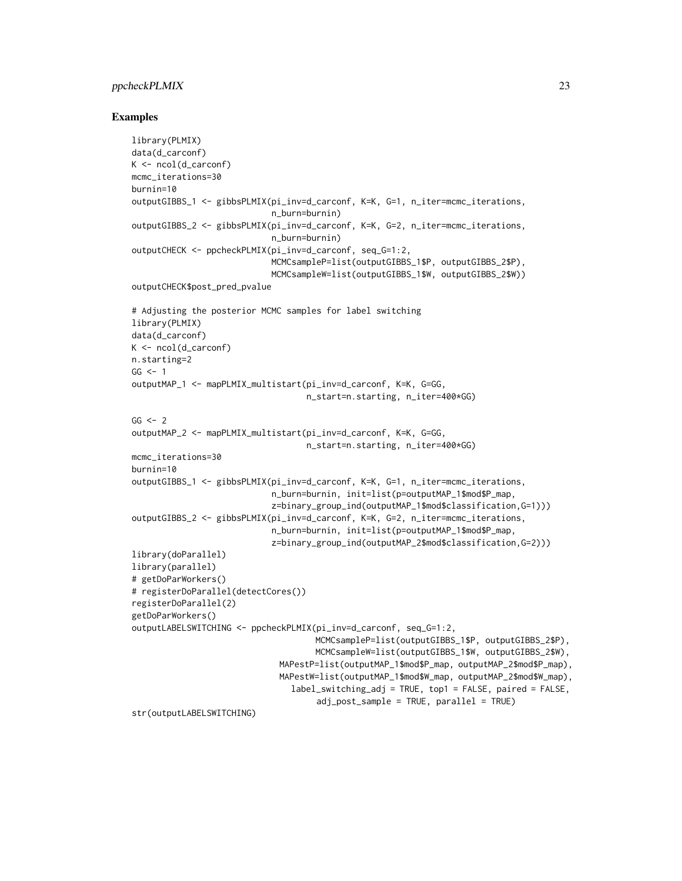# ppcheckPLMIX 23

```
library(PLMIX)
data(d_carconf)
K \leq -ncol(d\_carconf)mcmc_iterations=30
burnin=10
outputGIBBS_1 <- gibbsPLMIX(pi_inv=d_carconf, K=K, G=1, n_iter=mcmc_iterations,
                            n_burn=burnin)
outputGIBBS_2 <- gibbsPLMIX(pi_inv=d_carconf, K=K, G=2, n_iter=mcmc_iterations,
                            n_burn=burnin)
outputCHECK <- ppcheckPLMIX(pi_inv=d_carconf, seq_G=1:2,
                            MCMCsampleP=list(outputGIBBS_1$P, outputGIBBS_2$P),
                            MCMCsampleW=list(outputGIBBS_1$W, outputGIBBS_2$W))
outputCHECK$post_pred_pvalue
# Adjusting the posterior MCMC samples for label switching
library(PLMIX)
data(d_carconf)
K \leftarrow \text{ncol}(d_{\text{carconf}})n.starting=2
GG < -1outputMAP_1 <- mapPLMIX_multistart(pi_inv=d_carconf, K=K, G=GG,
                                    n_start=n.starting, n_iter=400*GG)
GG < - 2outputMAP_2 <- mapPLMIX_multistart(pi_inv=d_carconf, K=K, G=GG,
                                    n_start=n.starting, n_iter=400*GG)
mcmc_iterations=30
burnin=10
outputGIBBS_1 <- gibbsPLMIX(pi_inv=d_carconf, K=K, G=1, n_iter=mcmc_iterations,
                            n_burn=burnin, init=list(p=outputMAP_1$mod$P_map,
                            z=binary_group_ind(outputMAP_1$mod$classification,G=1)))
outputGIBBS_2 <- gibbsPLMIX(pi_inv=d_carconf, K=K, G=2, n_iter=mcmc_iterations,
                            n_burn=burnin, init=list(p=outputMAP_1$mod$P_map,
                            z=binary_group_ind(outputMAP_2$mod$classification,G=2)))
library(doParallel)
library(parallel)
# getDoParWorkers()
# registerDoParallel(detectCores())
registerDoParallel(2)
getDoParWorkers()
outputLABELSWITCHING <- ppcheckPLMIX(pi_inv=d_carconf, seq_G=1:2,
                                      MCMCsampleP=list(outputGIBBS_1$P, outputGIBBS_2$P),
                                      MCMCsampleW=list(outputGIBBS_1$W, outputGIBBS_2$W),
                              MAPestP=list(outputMAP_1$mod$P_map, outputMAP_2$mod$P_map),
                              MAPestW=list(outputMAP_1$mod$W_map, outputMAP_2$mod$W_map),
                                label_switching_adj = TRUE, top1 = FALSE, paired = FALSE,
                                      adj_post_sample = TRUE, parallel = TRUE)
str(outputLABELSWITCHING)
```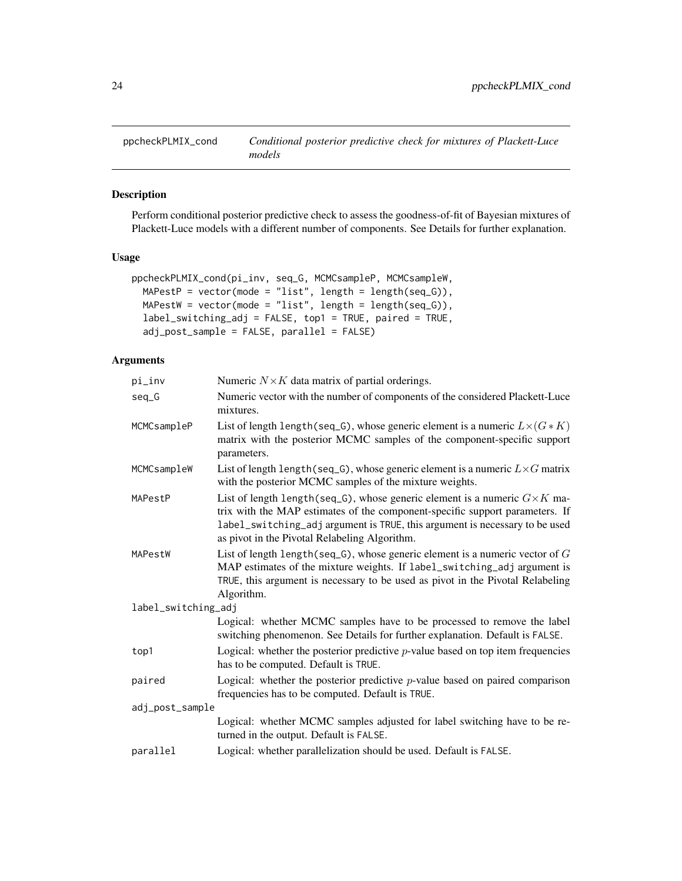<span id="page-23-1"></span><span id="page-23-0"></span>

# Description

Perform conditional posterior predictive check to assess the goodness-of-fit of Bayesian mixtures of Plackett-Luce models with a different number of components. See Details for further explanation.

# Usage

```
ppcheckPLMIX_cond(pi_inv, seq_G, MCMCsampleP, MCMCsampleW,
 MAPestP = vector(mode = "list", length = length(seq_G)),
 MAPestW = vector(model = "list", length = length(seq_G)),label_switching_adj = FALSE, top1 = TRUE, paired = TRUE,
  adj_post_sample = FALSE, parallel = FALSE)
```
# Arguments

| pi_inv              | Numeric $N \times K$ data matrix of partial orderings.                                                                                                                                                                                                                                             |
|---------------------|----------------------------------------------------------------------------------------------------------------------------------------------------------------------------------------------------------------------------------------------------------------------------------------------------|
| $seq_G$             | Numeric vector with the number of components of the considered Plackett-Luce<br>mixtures.                                                                                                                                                                                                          |
| MCMCsampleP         | List of length length (seq_G), whose generic element is a numeric $L \times (G \ast K)$<br>matrix with the posterior MCMC samples of the component-specific support<br>parameters.                                                                                                                 |
| MCMCsampleW         | List of length length (seq_G), whose generic element is a numeric $L \times G$ matrix<br>with the posterior MCMC samples of the mixture weights.                                                                                                                                                   |
| MAPestP             | List of length length (seq_G), whose generic element is a numeric $G \times K$ ma-<br>trix with the MAP estimates of the component-specific support parameters. If<br>label_switching_adj argument is TRUE, this argument is necessary to be used<br>as pivot in the Pivotal Relabeling Algorithm. |
| MAPestW             | List of length length (seq_G), whose generic element is a numeric vector of $G$<br>MAP estimates of the mixture weights. If label_switching_adj argument is<br>TRUE, this argument is necessary to be used as pivot in the Pivotal Relabeling<br>Algorithm.                                        |
| label_switching_adj |                                                                                                                                                                                                                                                                                                    |
|                     | Logical: whether MCMC samples have to be processed to remove the label<br>switching phenomenon. See Details for further explanation. Default is FALSE.                                                                                                                                             |
| top1                | Logical: whether the posterior predictive $p$ -value based on top item frequencies<br>has to be computed. Default is TRUE.                                                                                                                                                                         |
| paired              | Logical: whether the posterior predictive $p$ -value based on paired comparison<br>frequencies has to be computed. Default is TRUE.                                                                                                                                                                |
| adj_post_sample     |                                                                                                                                                                                                                                                                                                    |
|                     | Logical: whether MCMC samples adjusted for label switching have to be re-<br>turned in the output. Default is FALSE.                                                                                                                                                                               |
| parallel            | Logical: whether parallelization should be used. Default is FALSE.                                                                                                                                                                                                                                 |
|                     |                                                                                                                                                                                                                                                                                                    |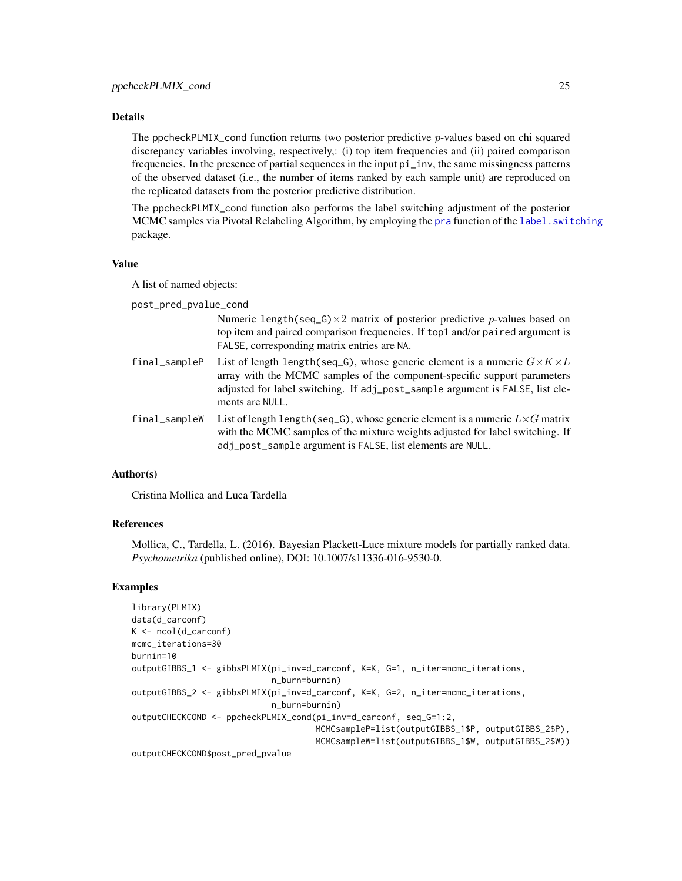# <span id="page-24-0"></span>Details

The ppcheckPLMIX\_cond function returns two posterior predictive  $p$ -values based on chi squared discrepancy variables involving, respectively,: (i) top item frequencies and (ii) paired comparison frequencies. In the presence of partial sequences in the input pi\_inv, the same missingness patterns of the observed dataset (i.e., the number of items ranked by each sample unit) are reproduced on the replicated datasets from the posterior predictive distribution.

The ppcheckPLMIX\_cond function also performs the label switching adjustment of the posterior MCMC samples via Pivotal Relabeling Algorithm, by employing the [pra](#page-0-0) function of the label. switching package.

#### Value

A list of named objects:

post\_pred\_pvalue\_cond

Numeric length(seq\_G) $\times$ 2 matrix of posterior predictive p-values based on top item and paired comparison frequencies. If top1 and/or paired argument is FALSE, corresponding matrix entries are NA.

final\_sampleP List of length length(seq\_G), whose generic element is a numeric  $G\times K\times L$ array with the MCMC samples of the component-specific support parameters adjusted for label switching. If adj\_post\_sample argument is FALSE, list elements are NULL.

final\_sampleW List of length length(seq\_G), whose generic element is a numeric  $L \times G$  matrix with the MCMC samples of the mixture weights adjusted for label switching. If adj\_post\_sample argument is FALSE, list elements are NULL.

#### Author(s)

Cristina Mollica and Luca Tardella

#### References

Mollica, C., Tardella, L. (2016). Bayesian Plackett-Luce mixture models for partially ranked data. *Psychometrika* (published online), DOI: 10.1007/s11336-016-9530-0.

```
library(PLMIX)
data(d_carconf)
K \leq -\text{ncol}(d_{\text{carcon}}f)mcmc_iterations=30
burnin=10
outputGIBBS_1 <- gibbsPLMIX(pi_inv=d_carconf, K=K, G=1, n_iter=mcmc_iterations,
                             n_burn=burnin)
outputGIBBS_2 <- gibbsPLMIX(pi_inv=d_carconf, K=K, G=2, n_iter=mcmc_iterations,
                             n_burn=burnin)
outputCHECKCOND <- ppcheckPLMIX_cond(pi_inv=d_carconf, seq_G=1:2,
                                      MCMCsampleP=list(outputGIBBS_1$P, outputGIBBS_2$P),
                                      MCMCsampleW=list(outputGIBBS_1$W, outputGIBBS_2$W))
outputCHECKCOND$post_pred_pvalue
```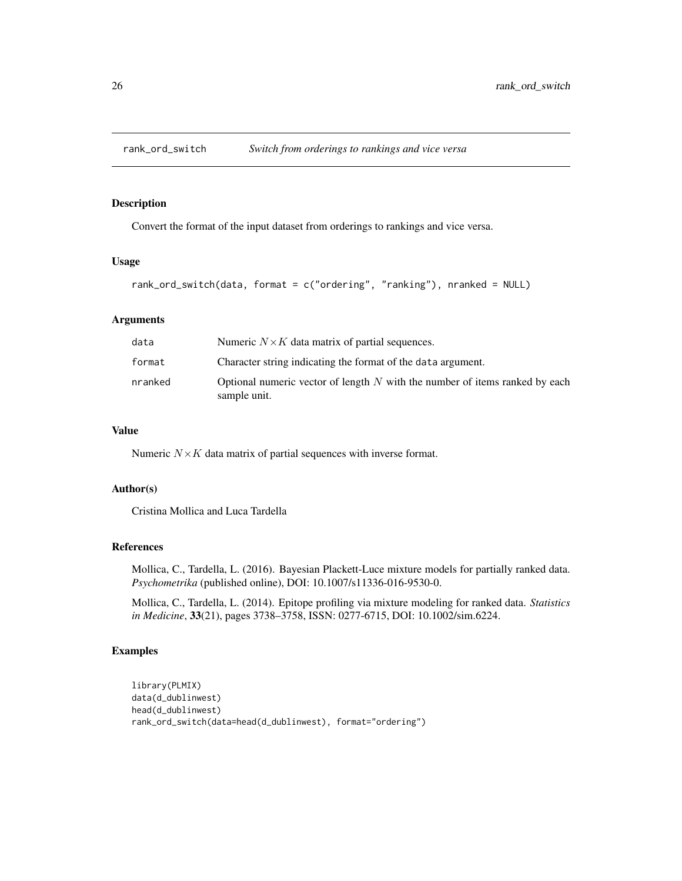<span id="page-25-1"></span><span id="page-25-0"></span>

# Description

Convert the format of the input dataset from orderings to rankings and vice versa.

#### Usage

```
rank_ord_switch(data, format = c("ordering", "ranking"), nranked = NULL)
```
#### Arguments

| data    | Numeric $N \times K$ data matrix of partial sequences.                                        |
|---------|-----------------------------------------------------------------------------------------------|
| format  | Character string indicating the format of the data argument.                                  |
| nranked | Optional numeric vector of length $N$ with the number of items ranked by each<br>sample unit. |

# Value

Numeric  $N \times K$  data matrix of partial sequences with inverse format.

# Author(s)

Cristina Mollica and Luca Tardella

# References

Mollica, C., Tardella, L. (2016). Bayesian Plackett-Luce mixture models for partially ranked data. *Psychometrika* (published online), DOI: 10.1007/s11336-016-9530-0.

Mollica, C., Tardella, L. (2014). Epitope profiling via mixture modeling for ranked data. *Statistics in Medicine*, 33(21), pages 3738–3758, ISSN: 0277-6715, DOI: 10.1002/sim.6224.

```
library(PLMIX)
data(d_dublinwest)
head(d_dublinwest)
rank_ord_switch(data=head(d_dublinwest), format="ordering")
```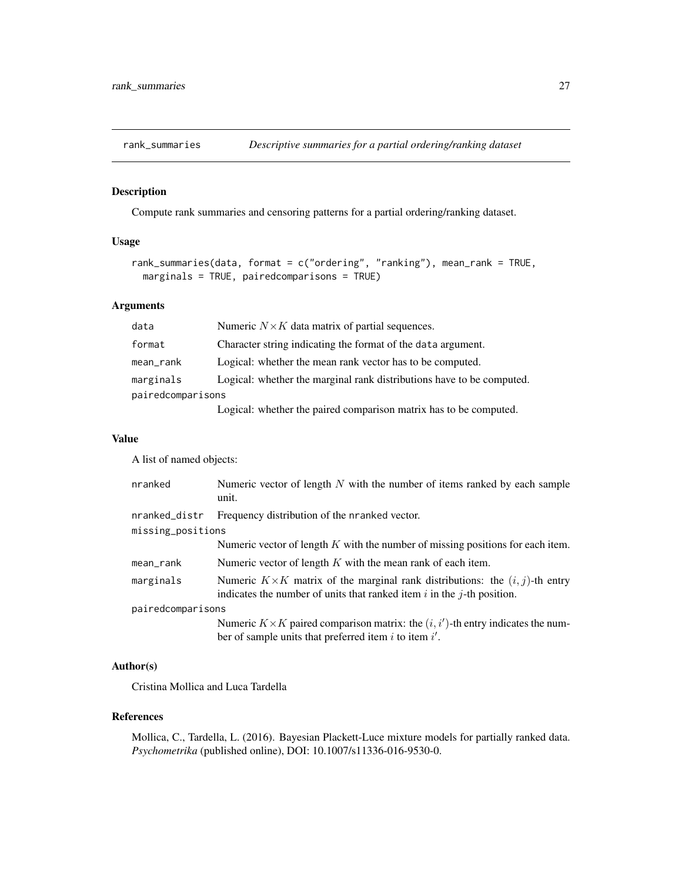<span id="page-26-1"></span><span id="page-26-0"></span>

# Description

Compute rank summaries and censoring patterns for a partial ordering/ranking dataset.

# Usage

```
rank_summaries(data, format = c("ordering", "ranking"), mean_rank = TRUE,
 marginals = TRUE, pairedcomparisons = TRUE)
```
# Arguments

| data              | Numeric $N \times K$ data matrix of partial sequences.                |
|-------------------|-----------------------------------------------------------------------|
| format            | Character string indicating the format of the data argument.          |
| mean_rank         | Logical: whether the mean rank vector has to be computed.             |
| marginals         | Logical: whether the marginal rank distributions have to be computed. |
| pairedcomparisons |                                                                       |
|                   | I agreed whather the noised companies matrix has to be computed       |

Logical: whether the paired comparison matrix has to be computed.

#### Value

A list of named objects:

| nranked           | Numeric vector of length $N$ with the number of items ranked by each sample<br>unit.                                                                                  |  |
|-------------------|-----------------------------------------------------------------------------------------------------------------------------------------------------------------------|--|
| nranked_distr     | Frequency distribution of the nranked vector.                                                                                                                         |  |
| missing_positions |                                                                                                                                                                       |  |
|                   | Numeric vector of length $K$ with the number of missing positions for each item.                                                                                      |  |
| mean_rank         | Numeric vector of length $K$ with the mean rank of each item.                                                                                                         |  |
| marginals         | Numeric $K \times K$ matrix of the marginal rank distributions: the $(i, j)$ -th entry<br>indicates the number of units that ranked item $i$ in the $j$ -th position. |  |
| pairedcomparisons |                                                                                                                                                                       |  |
|                   | Numeric $K \times K$ paired comparison matrix: the $(i, i')$ -th entry indicates the num-<br>ber of sample units that preferred item $i$ to item $i'$ .               |  |

# Author(s)

Cristina Mollica and Luca Tardella

# References

Mollica, C., Tardella, L. (2016). Bayesian Plackett-Luce mixture models for partially ranked data. *Psychometrika* (published online), DOI: 10.1007/s11336-016-9530-0.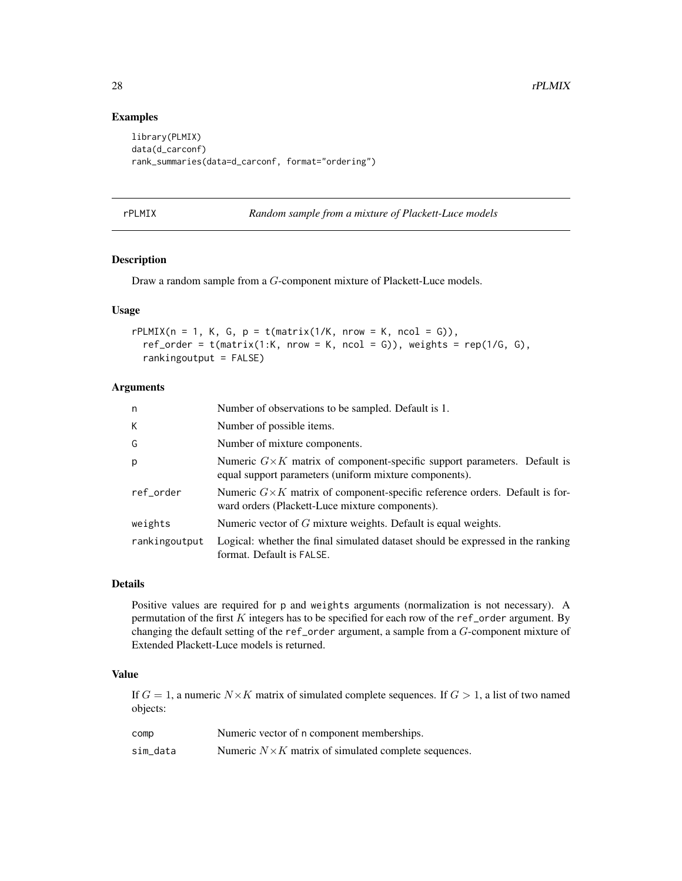# Examples

```
library(PLMIX)
data(d_carconf)
rank_summaries(data=d_carconf, format="ordering")
```
<span id="page-27-1"></span>

**Random sample from a mixture of Plackett-Luce models** 

# Description

Draw a random sample from a G-component mixture of Plackett-Luce models.

# Usage

```
rPLMIX(n = 1, K, G, p = t(matrix(1/K, nrow = K, ncol = G)),
 ref_corder = t(matrix(1:K, nrow = K, ncol = G)), weights = rep(1/G, G),rankingoutput = FALSE)
```
# Arguments

| n             | Number of observations to be sampled. Default is 1.                                                                                        |
|---------------|--------------------------------------------------------------------------------------------------------------------------------------------|
| K             | Number of possible items.                                                                                                                  |
| G             | Number of mixture components.                                                                                                              |
| p             | Numeric $G \times K$ matrix of component-specific support parameters. Default is<br>equal support parameters (uniform mixture components). |
| ref_order     | Numeric $G\times K$ matrix of component-specific reference orders. Default is for-<br>ward orders (Plackett-Luce mixture components).      |
| weights       | Numeric vector of $G$ mixture weights. Default is equal weights.                                                                           |
| rankingoutput | Logical: whether the final simulated dataset should be expressed in the ranking<br>format. Default is FALSE.                               |

#### Details

Positive values are required for p and weights arguments (normalization is not necessary). A permutation of the first  $K$  integers has to be specified for each row of the ref\_order argument. By changing the default setting of the ref\_order argument, a sample from a  $G$ -component mixture of Extended Plackett-Luce models is returned.

#### Value

If  $G = 1$ , a numeric  $N \times K$  matrix of simulated complete sequences. If  $G > 1$ , a list of two named objects:

| comp     | Numeric vector of n component memberships.                   |
|----------|--------------------------------------------------------------|
| sim_data | Numeric $N \times K$ matrix of simulated complete sequences. |

<span id="page-27-0"></span>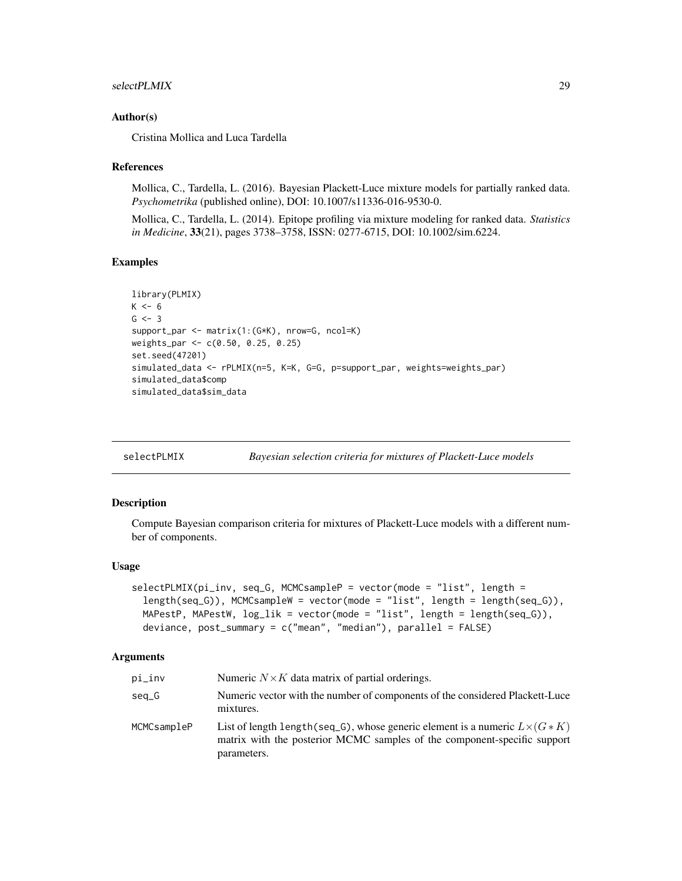#### <span id="page-28-0"></span>selectPLMIX 29

#### Author(s)

Cristina Mollica and Luca Tardella

#### References

Mollica, C., Tardella, L. (2016). Bayesian Plackett-Luce mixture models for partially ranked data. *Psychometrika* (published online), DOI: 10.1007/s11336-016-9530-0.

Mollica, C., Tardella, L. (2014). Epitope profiling via mixture modeling for ranked data. *Statistics in Medicine*, 33(21), pages 3738–3758, ISSN: 0277-6715, DOI: 10.1002/sim.6224.

#### Examples

```
library(PLMIX)
K < -6G \le -3support_par <- matrix(1:(G*K), nrow=G, ncol=K)
weights_par <- c(0.50, 0.25, 0.25)
set.seed(47201)
simulated_data <- rPLMIX(n=5, K=K, G=G, p=support_par, weights=weights_par)
simulated_data$comp
simulated_data$sim_data
```
<span id="page-28-1"></span>

| selectPLMIX |  | Bayesian selection criteria for mixtures of Plackett-Luce models |
|-------------|--|------------------------------------------------------------------|
|             |  |                                                                  |

# Description

Compute Bayesian comparison criteria for mixtures of Plackett-Luce models with a different number of components.

#### Usage

```
selectPLMIX(pi_inv, seq_G, MCMCsampleP = vector(mode = "list", length =
  length(seq_G)), MCMCsampleW = vector(mode = "list", length = length(seq_G)),
 MAPestP, MAPestW, log\_lik = vector(model = "list", length = length(seq_G)),deviance, post\_summary = c("mean", "median"), parallel = FALSE)
```
#### Arguments

| pi_inv      | Numeric $N \times K$ data matrix of partial orderings.                                                                                                                             |
|-------------|------------------------------------------------------------------------------------------------------------------------------------------------------------------------------------|
| seg_G       | Numeric vector with the number of components of the considered Plackett-Luce<br>mixtures.                                                                                          |
| MCMCsampleP | List of length length (seq_G), whose generic element is a numeric $L \times (G \ast K)$<br>matrix with the posterior MCMC samples of the component-specific support<br>parameters. |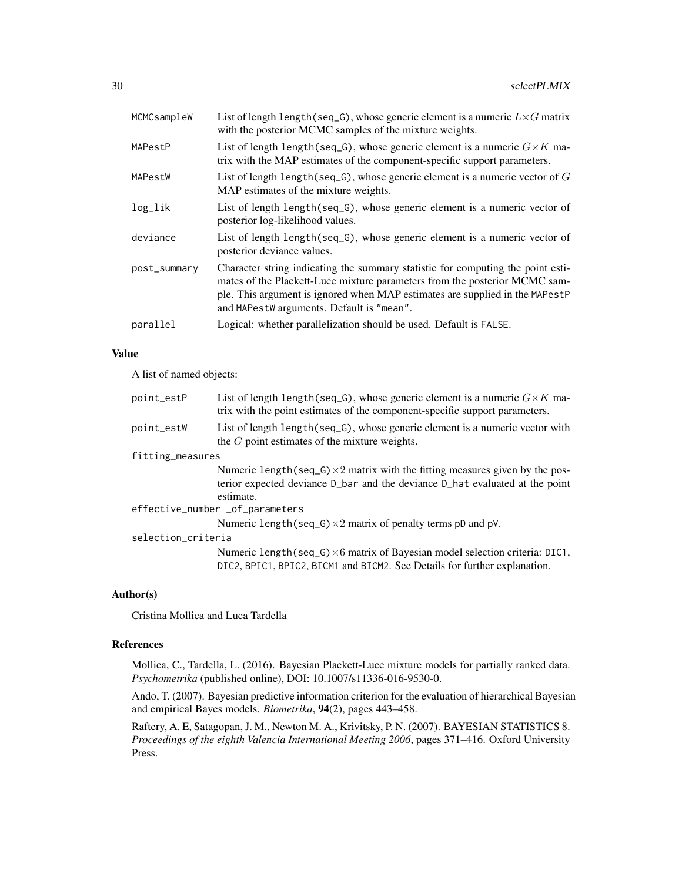| MCMCsampleW  | List of length length (seq_G), whose generic element is a numeric $L \times G$ matrix<br>with the posterior MCMC samples of the mixture weights.                                                                                                                                           |
|--------------|--------------------------------------------------------------------------------------------------------------------------------------------------------------------------------------------------------------------------------------------------------------------------------------------|
| MAPestP      | List of length length (seq_G), whose generic element is a numeric $G \times K$ ma-<br>trix with the MAP estimates of the component-specific support parameters.                                                                                                                            |
| MAPestW      | List of length length (seq_G), whose generic element is a numeric vector of $G$<br>MAP estimates of the mixture weights.                                                                                                                                                                   |
| log_lik      | List of length length (seq_G), whose generic element is a numeric vector of<br>posterior log-likelihood values.                                                                                                                                                                            |
| deviance     | List of length length (seq_G), whose generic element is a numeric vector of<br>posterior deviance values.                                                                                                                                                                                  |
| post_summary | Character string indicating the summary statistic for computing the point esti-<br>mates of the Plackett-Luce mixture parameters from the posterior MCMC sam-<br>ple. This argument is ignored when MAP estimates are supplied in the MAPestP<br>and MAPestW arguments. Default is "mean". |
| parallel     | Logical: whether parallelization should be used. Default is FALSE.                                                                                                                                                                                                                         |
|              |                                                                                                                                                                                                                                                                                            |

# Value

A list of named objects:

| point_estP                      | List of length length (seq_G), whose generic element is a numeric $G \times K$ ma-<br>trix with the point estimates of the component-specific support parameters.                |  |
|---------------------------------|----------------------------------------------------------------------------------------------------------------------------------------------------------------------------------|--|
| point_estW                      | List of length length (seq_G), whose generic element is a numeric vector with<br>the $G$ point estimates of the mixture weights.                                                 |  |
| fitting_measures                |                                                                                                                                                                                  |  |
|                                 | Numeric length(seq_G) $\times$ 2 matrix with the fitting measures given by the pos-<br>terior expected deviance D_bar and the deviance D_hat evaluated at the point<br>estimate. |  |
| effective_number _of_parameters |                                                                                                                                                                                  |  |
|                                 | Numeric length (seq_G) $\times$ 2 matrix of penalty terms pD and pV.                                                                                                             |  |
| selection_criteria              |                                                                                                                                                                                  |  |
|                                 | Numeric length(seq_G) $\times$ 6 matrix of Bayesian model selection criteria: DIC1,<br>DIC2, BPIC1, BPIC2, BICM1 and BICM2. See Details for further explanation.                 |  |

# Author(s)

Cristina Mollica and Luca Tardella

# References

Mollica, C., Tardella, L. (2016). Bayesian Plackett-Luce mixture models for partially ranked data. *Psychometrika* (published online), DOI: 10.1007/s11336-016-9530-0.

Ando, T. (2007). Bayesian predictive information criterion for the evaluation of hierarchical Bayesian and empirical Bayes models. *Biometrika*, 94(2), pages 443–458.

Raftery, A. E, Satagopan, J. M., Newton M. A., Krivitsky, P. N. (2007). BAYESIAN STATISTICS 8. *Proceedings of the eighth Valencia International Meeting 2006*, pages 371–416. Oxford University Press.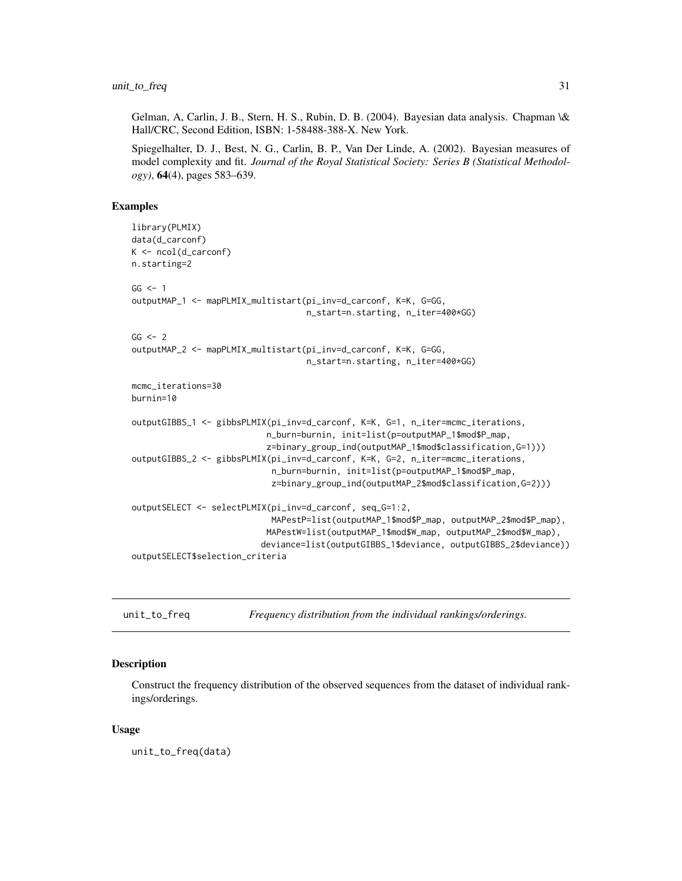<span id="page-30-0"></span>Gelman, A, Carlin, J. B., Stern, H. S., Rubin, D. B. (2004). Bayesian data analysis. Chapman \& Hall/CRC, Second Edition, ISBN: 1-58488-388-X. New York.

Spiegelhalter, D. J., Best, N. G., Carlin, B. P., Van Der Linde, A. (2002). Bayesian measures of model complexity and fit. *Journal of the Royal Statistical Society: Series B (Statistical Methodology)*, 64(4), pages 583–639.

#### Examples

```
library(PLMIX)
data(d_carconf)
K <- ncol(d_carconf)
n.starting=2
GG < -1outputMAP_1 <- mapPLMIX_multistart(pi_inv=d_carconf, K=K, G=GG,
                                   n_start=n.starting, n_iter=400*GG)
GG < - 2outputMAP_2 <- mapPLMIX_multistart(pi_inv=d_carconf, K=K, G=GG,
                                   n_start=n.starting, n_iter=400*GG)
mcmc_iterations=30
burnin=10
outputGIBBS_1 <- gibbsPLMIX(pi_inv=d_carconf, K=K, G=1, n_iter=mcmc_iterations,
                           n_burn=burnin, init=list(p=outputMAP_1$mod$P_map,
                           z=binary_group_ind(outputMAP_1$mod$classification,G=1)))
outputGIBBS_2 <- gibbsPLMIX(pi_inv=d_carconf, K=K, G=2, n_iter=mcmc_iterations,
                            n_burn=burnin, init=list(p=outputMAP_1$mod$P_map,
                            z=binary_group_ind(outputMAP_2$mod$classification,G=2)))
outputSELECT <- selectPLMIX(pi_inv=d_carconf, seq_G=1:2,
                            MAPestP=list(outputMAP_1$mod$P_map, outputMAP_2$mod$P_map),
                           MAPestW=list(outputMAP_1$mod$W_map, outputMAP_2$mod$W_map),
                          deviance=list(outputGIBBS_1$deviance, outputGIBBS_2$deviance))
outputSELECT$selection_criteria
```
<span id="page-30-1"></span>unit\_to\_freq *Frequency distribution from the individual rankings/orderings.*

#### **Description**

Construct the frequency distribution of the observed sequences from the dataset of individual rankings/orderings.

#### Usage

unit\_to\_freq(data)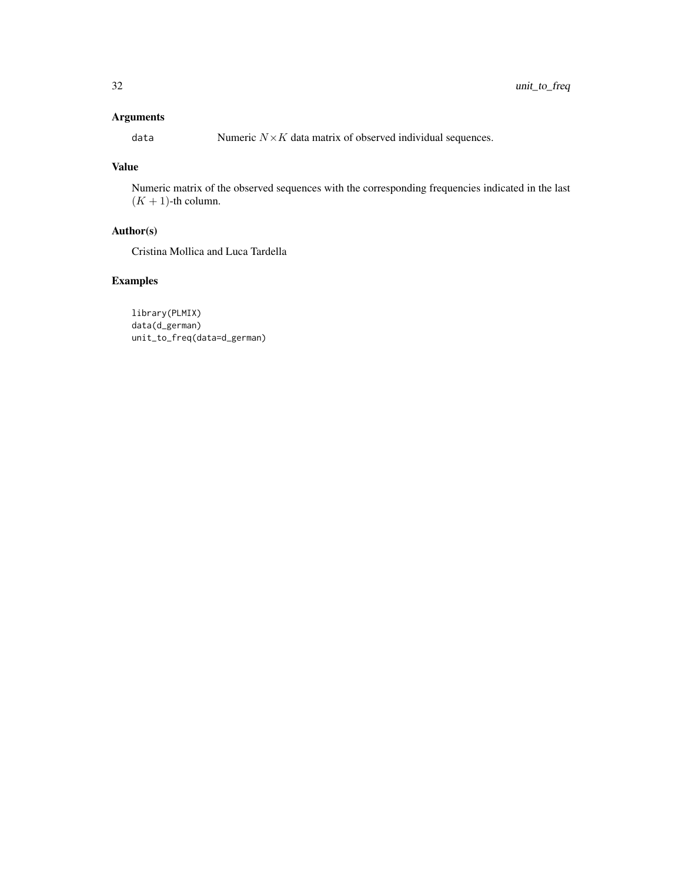# Arguments

data Numeric  $N \times K$  data matrix of observed individual sequences.

# Value

Numeric matrix of the observed sequences with the corresponding frequencies indicated in the last  $(K + 1)$ -th column.

# Author(s)

Cristina Mollica and Luca Tardella

# Examples

library(PLMIX) data(d\_german) unit\_to\_freq(data=d\_german)